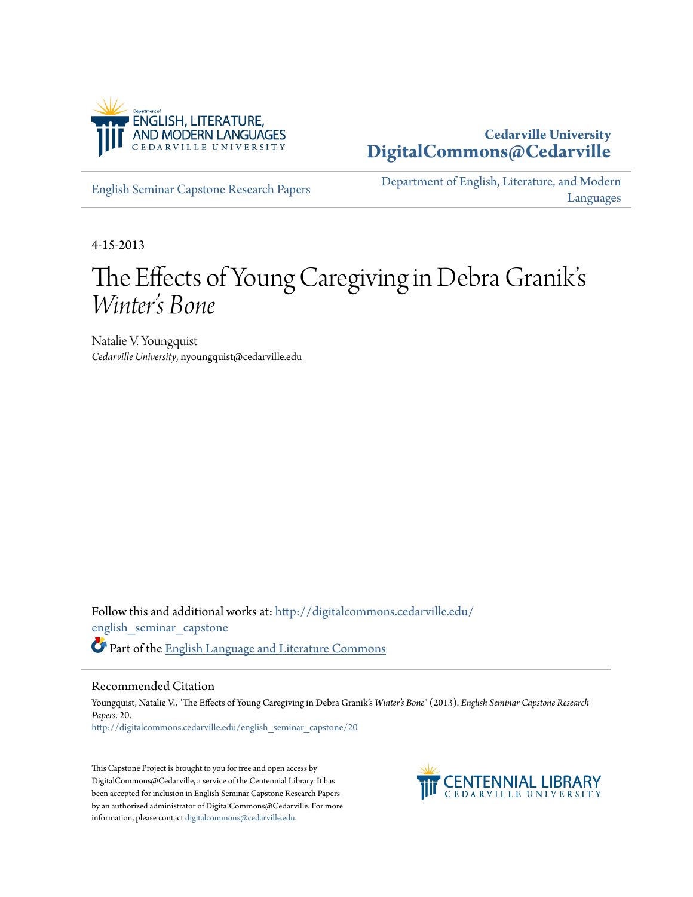

# **Cedarville University [DigitalCommons@Cedarville](http://digitalcommons.cedarville.edu?utm_source=digitalcommons.cedarville.edu%2Fenglish_seminar_capstone%2F20&utm_medium=PDF&utm_campaign=PDFCoverPages)**

[English Seminar Capstone Research Papers](http://digitalcommons.cedarville.edu/english_seminar_capstone?utm_source=digitalcommons.cedarville.edu%2Fenglish_seminar_capstone%2F20&utm_medium=PDF&utm_campaign=PDFCoverPages)

[Department of English, Literature, and Modern](http://digitalcommons.cedarville.edu/english_literature_modern_languages?utm_source=digitalcommons.cedarville.edu%2Fenglish_seminar_capstone%2F20&utm_medium=PDF&utm_campaign=PDFCoverPages) [Languages](http://digitalcommons.cedarville.edu/english_literature_modern_languages?utm_source=digitalcommons.cedarville.edu%2Fenglish_seminar_capstone%2F20&utm_medium=PDF&utm_campaign=PDFCoverPages)

4-15-2013

# The Effects of Young Caregiving in Debra Granik' s *Winter's Bone*

Natalie V. Youngquist *Cedarville University*, nyoungquist@cedarville.edu

Follow this and additional works at: [http://digitalcommons.cedarville.edu/](http://digitalcommons.cedarville.edu/english_seminar_capstone?utm_source=digitalcommons.cedarville.edu%2Fenglish_seminar_capstone%2F20&utm_medium=PDF&utm_campaign=PDFCoverPages) [english\\_seminar\\_capstone](http://digitalcommons.cedarville.edu/english_seminar_capstone?utm_source=digitalcommons.cedarville.edu%2Fenglish_seminar_capstone%2F20&utm_medium=PDF&utm_campaign=PDFCoverPages) Part of the [English Language and Literature Commons](http://network.bepress.com/hgg/discipline/455?utm_source=digitalcommons.cedarville.edu%2Fenglish_seminar_capstone%2F20&utm_medium=PDF&utm_campaign=PDFCoverPages)

#### Recommended Citation

Youngquist, Natalie V., "The Effects of Young Caregiving in Debra Granik's *Winter's Bone*" (2013). *English Seminar Capstone Research Papers*. 20. [http://digitalcommons.cedarville.edu/english\\_seminar\\_capstone/20](http://digitalcommons.cedarville.edu/english_seminar_capstone/20?utm_source=digitalcommons.cedarville.edu%2Fenglish_seminar_capstone%2F20&utm_medium=PDF&utm_campaign=PDFCoverPages)

This Capstone Project is brought to you for free and open access by DigitalCommons@Cedarville, a service of the Centennial Library. It has been accepted for inclusion in English Seminar Capstone Research Papers by an authorized administrator of DigitalCommons@Cedarville. For more information, please contact [digitalcommons@cedarville.edu.](mailto:digitalcommons@cedarville.edu)

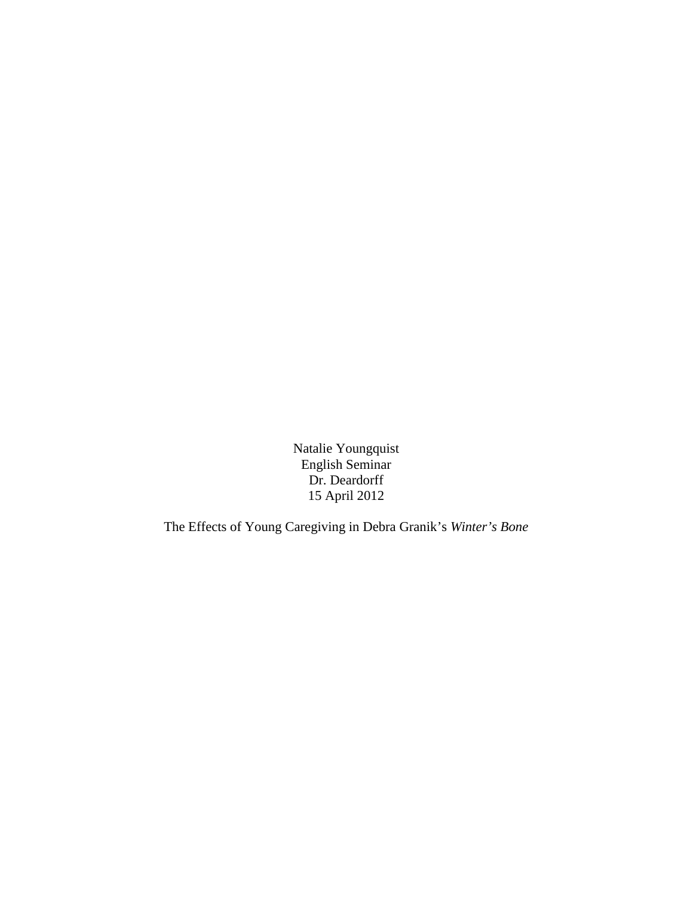Natalie Youngquist English Seminar Dr. Deardorff 15 April 2012

The Effects of Young Caregiving in Debra Granik's *Winter's Bone*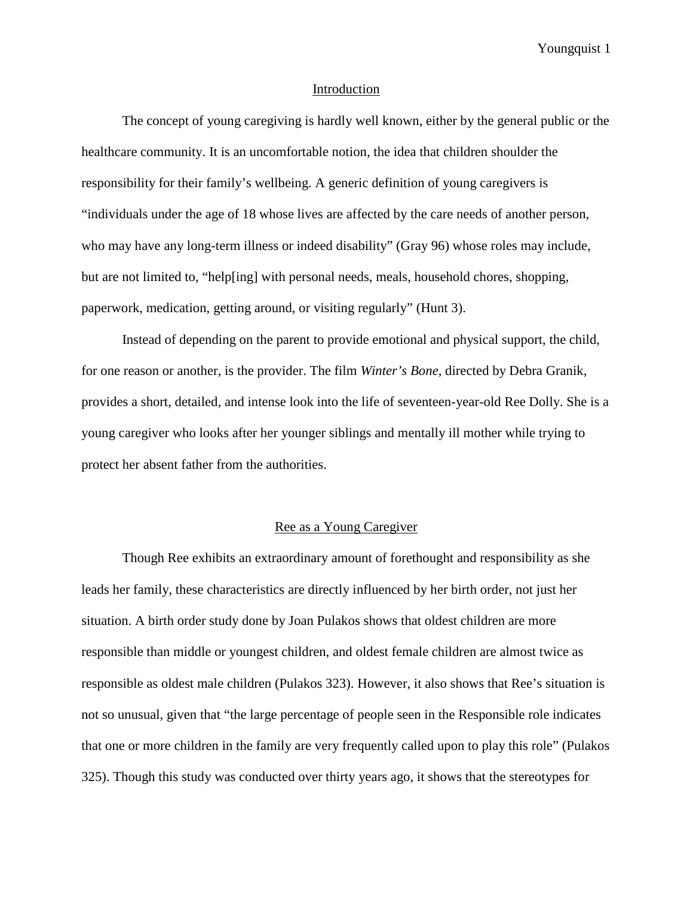#### Introduction

The concept of young caregiving is hardly well known, either by the general public or the healthcare community. It is an uncomfortable notion, the idea that children shoulder the responsibility for their family's wellbeing. A generic definition of young caregivers is "individuals under the age of 18 whose lives are affected by the care needs of another person, who may have any long-term illness or indeed disability" (Gray 96) whose roles may include, but are not limited to, "help[ing] with personal needs, meals, household chores, shopping, paperwork, medication, getting around, or visiting regularly" (Hunt 3).

Instead of depending on the parent to provide emotional and physical support, the child, for one reason or another, is the provider. The film *Winter's Bone*, directed by Debra Granik, provides a short, detailed, and intense look into the life of seventeen-year-old Ree Dolly. She is a young caregiver who looks after her younger siblings and mentally ill mother while trying to protect her absent father from the authorities.

#### Ree as a Young Caregiver

Though Ree exhibits an extraordinary amount of forethought and responsibility as she leads her family, these characteristics are directly influenced by her birth order, not just her situation. A birth order study done by Joan Pulakos shows that oldest children are more responsible than middle or youngest children, and oldest female children are almost twice as responsible as oldest male children (Pulakos 323). However, it also shows that Ree's situation is not so unusual, given that "the large percentage of people seen in the Responsible role indicates that one or more children in the family are very frequently called upon to play this role" (Pulakos 325). Though this study was conducted over thirty years ago, it shows that the stereotypes for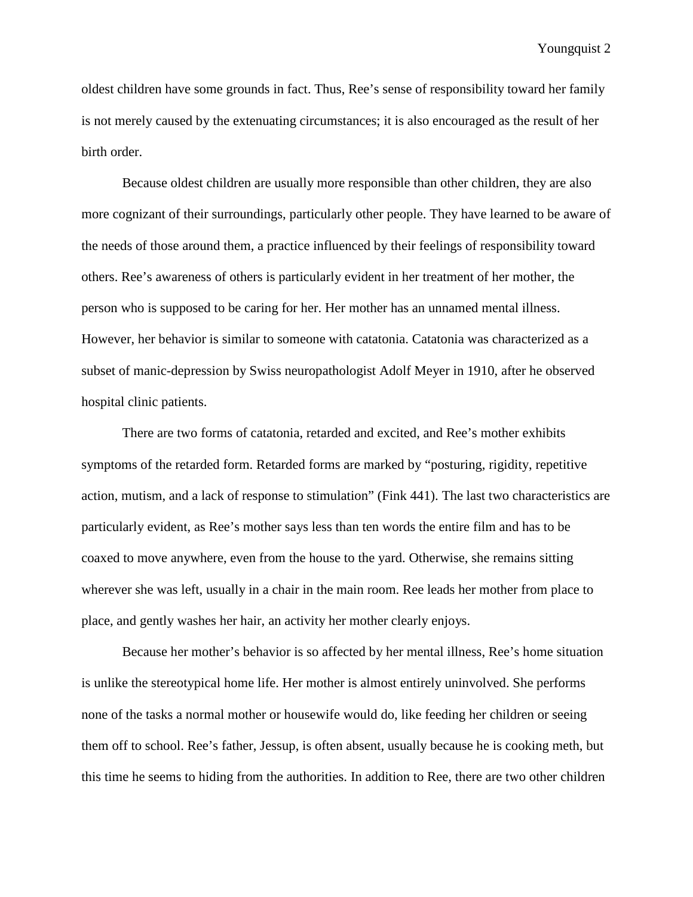oldest children have some grounds in fact. Thus, Ree's sense of responsibility toward her family is not merely caused by the extenuating circumstances; it is also encouraged as the result of her birth order.

Because oldest children are usually more responsible than other children, they are also more cognizant of their surroundings, particularly other people. They have learned to be aware of the needs of those around them, a practice influenced by their feelings of responsibility toward others. Ree's awareness of others is particularly evident in her treatment of her mother, the person who is supposed to be caring for her. Her mother has an unnamed mental illness. However, her behavior is similar to someone with catatonia. Catatonia was characterized as a subset of manic-depression by Swiss neuropathologist Adolf Meyer in 1910, after he observed hospital clinic patients.

There are two forms of catatonia, retarded and excited, and Ree's mother exhibits symptoms of the retarded form. Retarded forms are marked by "posturing, rigidity, repetitive action, mutism, and a lack of response to stimulation" (Fink 441). The last two characteristics are particularly evident, as Ree's mother says less than ten words the entire film and has to be coaxed to move anywhere, even from the house to the yard. Otherwise, she remains sitting wherever she was left, usually in a chair in the main room. Ree leads her mother from place to place, and gently washes her hair, an activity her mother clearly enjoys.

Because her mother's behavior is so affected by her mental illness, Ree's home situation is unlike the stereotypical home life. Her mother is almost entirely uninvolved. She performs none of the tasks a normal mother or housewife would do, like feeding her children or seeing them off to school. Ree's father, Jessup, is often absent, usually because he is cooking meth, but this time he seems to hiding from the authorities. In addition to Ree, there are two other children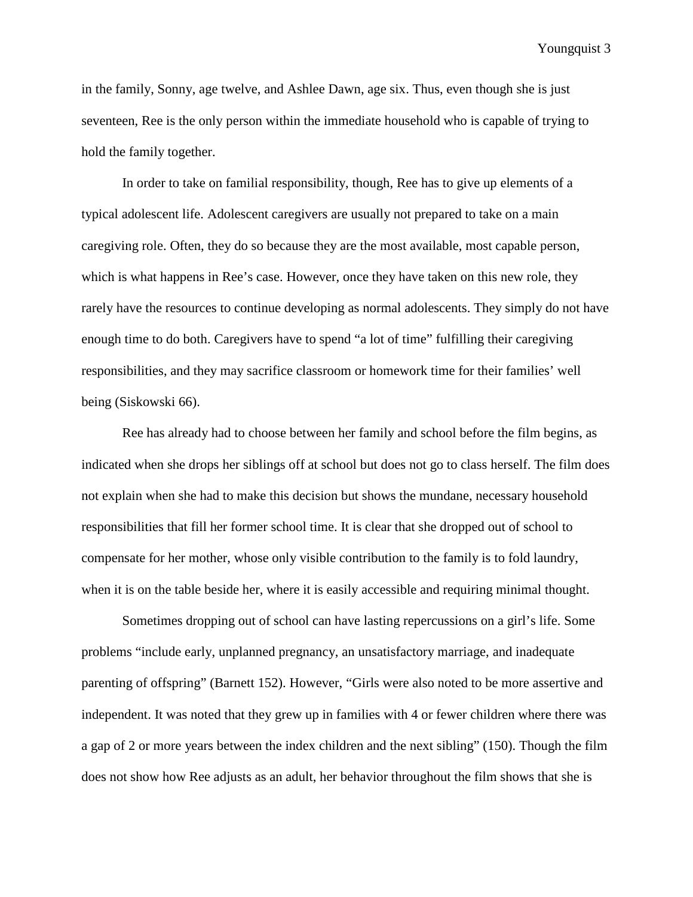in the family, Sonny, age twelve, and Ashlee Dawn, age six. Thus, even though she is just seventeen, Ree is the only person within the immediate household who is capable of trying to hold the family together.

In order to take on familial responsibility, though, Ree has to give up elements of a typical adolescent life. Adolescent caregivers are usually not prepared to take on a main caregiving role. Often, they do so because they are the most available, most capable person, which is what happens in Ree's case. However, once they have taken on this new role, they rarely have the resources to continue developing as normal adolescents. They simply do not have enough time to do both. Caregivers have to spend "a lot of time" fulfilling their caregiving responsibilities, and they may sacrifice classroom or homework time for their families' well being (Siskowski 66).

Ree has already had to choose between her family and school before the film begins, as indicated when she drops her siblings off at school but does not go to class herself. The film does not explain when she had to make this decision but shows the mundane, necessary household responsibilities that fill her former school time. It is clear that she dropped out of school to compensate for her mother, whose only visible contribution to the family is to fold laundry, when it is on the table beside her, where it is easily accessible and requiring minimal thought.

Sometimes dropping out of school can have lasting repercussions on a girl's life. Some problems "include early, unplanned pregnancy, an unsatisfactory marriage, and inadequate parenting of offspring" (Barnett 152). However, "Girls were also noted to be more assertive and independent. It was noted that they grew up in families with 4 or fewer children where there was a gap of 2 or more years between the index children and the next sibling" (150). Though the film does not show how Ree adjusts as an adult, her behavior throughout the film shows that she is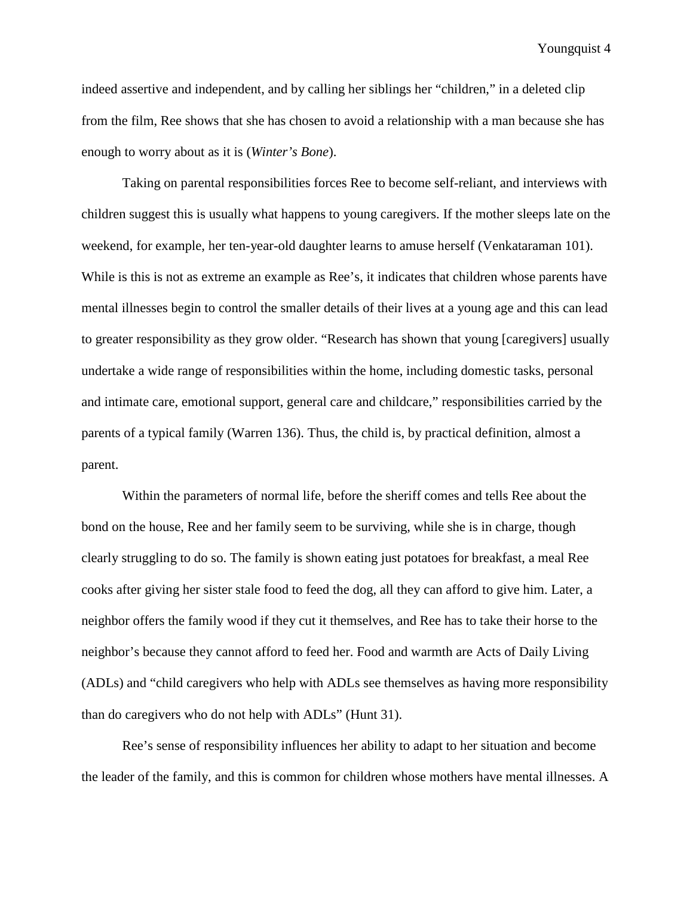indeed assertive and independent, and by calling her siblings her "children," in a deleted clip from the film, Ree shows that she has chosen to avoid a relationship with a man because she has enough to worry about as it is (*Winter's Bone*).

Taking on parental responsibilities forces Ree to become self-reliant, and interviews with children suggest this is usually what happens to young caregivers. If the mother sleeps late on the weekend, for example, her ten-year-old daughter learns to amuse herself (Venkataraman 101). While is this is not as extreme an example as Ree's, it indicates that children whose parents have mental illnesses begin to control the smaller details of their lives at a young age and this can lead to greater responsibility as they grow older. "Research has shown that young [caregivers] usually undertake a wide range of responsibilities within the home, including domestic tasks, personal and intimate care, emotional support, general care and childcare," responsibilities carried by the parents of a typical family (Warren 136). Thus, the child is, by practical definition, almost a parent.

Within the parameters of normal life, before the sheriff comes and tells Ree about the bond on the house, Ree and her family seem to be surviving, while she is in charge, though clearly struggling to do so. The family is shown eating just potatoes for breakfast, a meal Ree cooks after giving her sister stale food to feed the dog, all they can afford to give him. Later, a neighbor offers the family wood if they cut it themselves, and Ree has to take their horse to the neighbor's because they cannot afford to feed her. Food and warmth are Acts of Daily Living (ADLs) and "child caregivers who help with ADLs see themselves as having more responsibility than do caregivers who do not help with ADLs" (Hunt 31).

Ree's sense of responsibility influences her ability to adapt to her situation and become the leader of the family, and this is common for children whose mothers have mental illnesses. A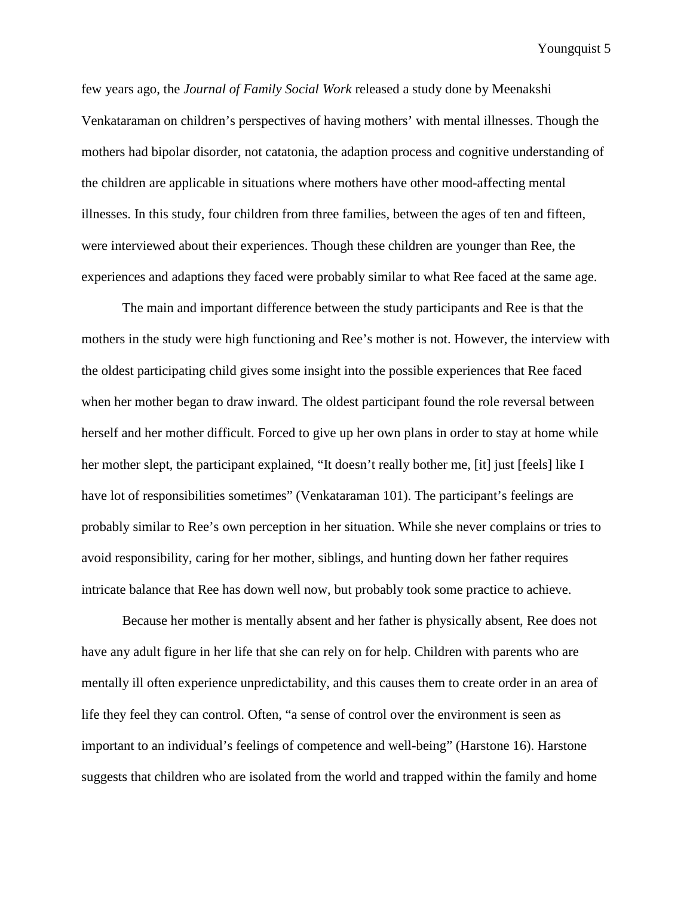few years ago, the *Journal of Family Social Work* released a study done by Meenakshi Venkataraman on children's perspectives of having mothers' with mental illnesses. Though the mothers had bipolar disorder, not catatonia, the adaption process and cognitive understanding of the children are applicable in situations where mothers have other mood-affecting mental illnesses. In this study, four children from three families, between the ages of ten and fifteen, were interviewed about their experiences. Though these children are younger than Ree, the experiences and adaptions they faced were probably similar to what Ree faced at the same age.

The main and important difference between the study participants and Ree is that the mothers in the study were high functioning and Ree's mother is not. However, the interview with the oldest participating child gives some insight into the possible experiences that Ree faced when her mother began to draw inward. The oldest participant found the role reversal between herself and her mother difficult. Forced to give up her own plans in order to stay at home while her mother slept, the participant explained, "It doesn't really bother me, [it] just [feels] like I have lot of responsibilities sometimes" (Venkataraman 101). The participant's feelings are probably similar to Ree's own perception in her situation. While she never complains or tries to avoid responsibility, caring for her mother, siblings, and hunting down her father requires intricate balance that Ree has down well now, but probably took some practice to achieve.

Because her mother is mentally absent and her father is physically absent, Ree does not have any adult figure in her life that she can rely on for help. Children with parents who are mentally ill often experience unpredictability, and this causes them to create order in an area of life they feel they can control. Often, "a sense of control over the environment is seen as important to an individual's feelings of competence and well-being" (Harstone 16). Harstone suggests that children who are isolated from the world and trapped within the family and home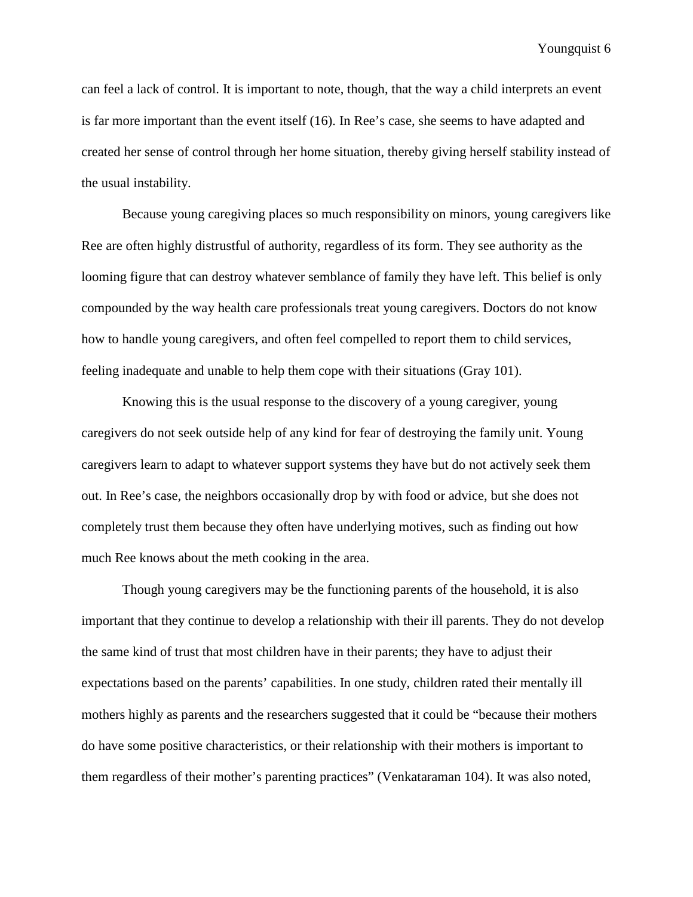can feel a lack of control. It is important to note, though, that the way a child interprets an event is far more important than the event itself (16). In Ree's case, she seems to have adapted and created her sense of control through her home situation, thereby giving herself stability instead of the usual instability.

Because young caregiving places so much responsibility on minors, young caregivers like Ree are often highly distrustful of authority, regardless of its form. They see authority as the looming figure that can destroy whatever semblance of family they have left. This belief is only compounded by the way health care professionals treat young caregivers. Doctors do not know how to handle young caregivers, and often feel compelled to report them to child services, feeling inadequate and unable to help them cope with their situations (Gray 101).

Knowing this is the usual response to the discovery of a young caregiver, young caregivers do not seek outside help of any kind for fear of destroying the family unit. Young caregivers learn to adapt to whatever support systems they have but do not actively seek them out. In Ree's case, the neighbors occasionally drop by with food or advice, but she does not completely trust them because they often have underlying motives, such as finding out how much Ree knows about the meth cooking in the area.

Though young caregivers may be the functioning parents of the household, it is also important that they continue to develop a relationship with their ill parents. They do not develop the same kind of trust that most children have in their parents; they have to adjust their expectations based on the parents' capabilities. In one study, children rated their mentally ill mothers highly as parents and the researchers suggested that it could be "because their mothers do have some positive characteristics, or their relationship with their mothers is important to them regardless of their mother's parenting practices" (Venkataraman 104). It was also noted,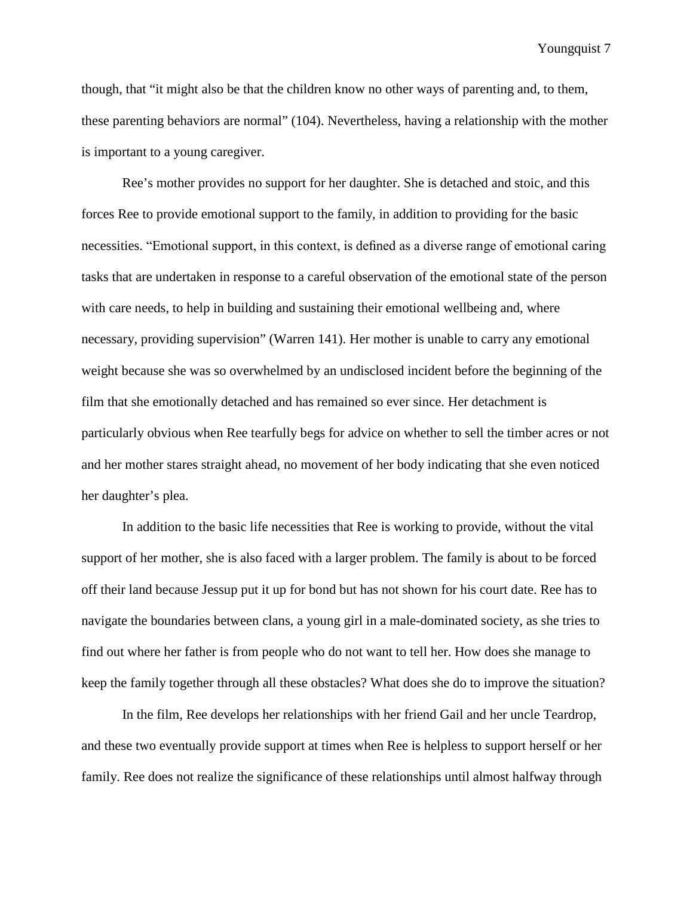though, that "it might also be that the children know no other ways of parenting and, to them, these parenting behaviors are normal" (104). Nevertheless, having a relationship with the mother is important to a young caregiver.

Ree's mother provides no support for her daughter. She is detached and stoic, and this forces Ree to provide emotional support to the family, in addition to providing for the basic necessities. "Emotional support, in this context, is defined as a diverse range of emotional caring tasks that are undertaken in response to a careful observation of the emotional state of the person with care needs, to help in building and sustaining their emotional wellbeing and, where necessary, providing supervision" (Warren 141). Her mother is unable to carry any emotional weight because she was so overwhelmed by an undisclosed incident before the beginning of the film that she emotionally detached and has remained so ever since. Her detachment is particularly obvious when Ree tearfully begs for advice on whether to sell the timber acres or not and her mother stares straight ahead, no movement of her body indicating that she even noticed her daughter's plea.

In addition to the basic life necessities that Ree is working to provide, without the vital support of her mother, she is also faced with a larger problem. The family is about to be forced off their land because Jessup put it up for bond but has not shown for his court date. Ree has to navigate the boundaries between clans, a young girl in a male-dominated society, as she tries to find out where her father is from people who do not want to tell her. How does she manage to keep the family together through all these obstacles? What does she do to improve the situation?

In the film, Ree develops her relationships with her friend Gail and her uncle Teardrop, and these two eventually provide support at times when Ree is helpless to support herself or her family. Ree does not realize the significance of these relationships until almost halfway through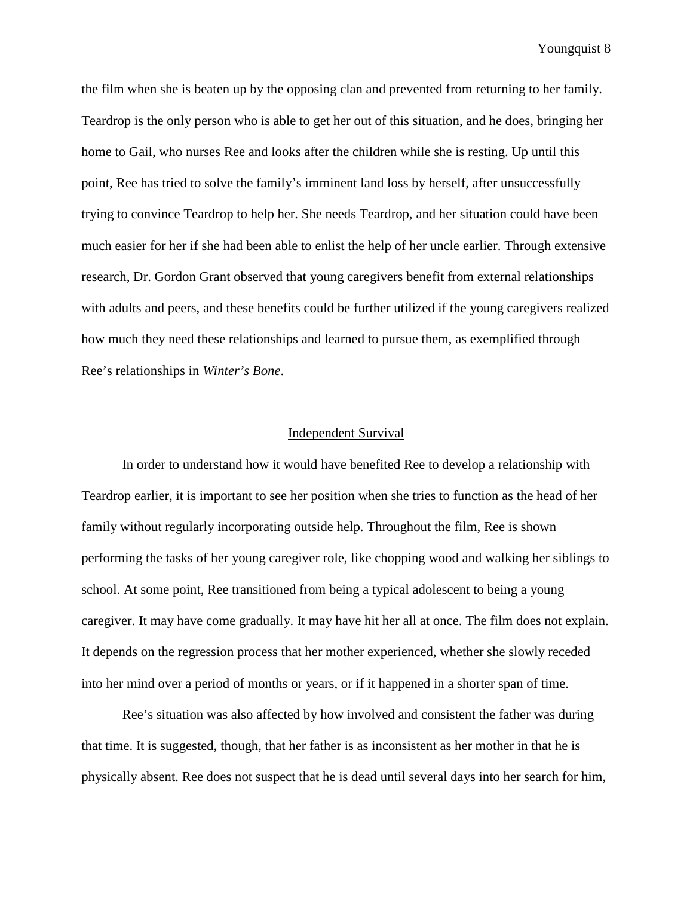the film when she is beaten up by the opposing clan and prevented from returning to her family. Teardrop is the only person who is able to get her out of this situation, and he does, bringing her home to Gail, who nurses Ree and looks after the children while she is resting. Up until this point, Ree has tried to solve the family's imminent land loss by herself, after unsuccessfully trying to convince Teardrop to help her. She needs Teardrop, and her situation could have been much easier for her if she had been able to enlist the help of her uncle earlier. Through extensive research, Dr. Gordon Grant observed that young caregivers benefit from external relationships with adults and peers, and these benefits could be further utilized if the young caregivers realized how much they need these relationships and learned to pursue them, as exemplified through Ree's relationships in *Winter's Bone*.

#### Independent Survival

In order to understand how it would have benefited Ree to develop a relationship with Teardrop earlier, it is important to see her position when she tries to function as the head of her family without regularly incorporating outside help. Throughout the film, Ree is shown performing the tasks of her young caregiver role, like chopping wood and walking her siblings to school. At some point, Ree transitioned from being a typical adolescent to being a young caregiver. It may have come gradually. It may have hit her all at once. The film does not explain. It depends on the regression process that her mother experienced, whether she slowly receded into her mind over a period of months or years, or if it happened in a shorter span of time.

Ree's situation was also affected by how involved and consistent the father was during that time. It is suggested, though, that her father is as inconsistent as her mother in that he is physically absent. Ree does not suspect that he is dead until several days into her search for him,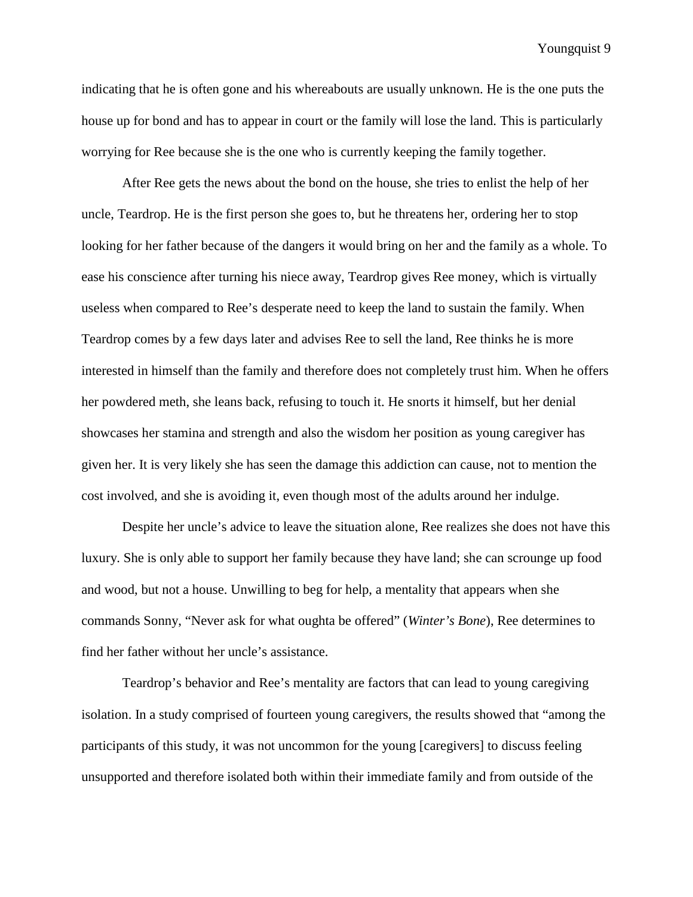indicating that he is often gone and his whereabouts are usually unknown. He is the one puts the house up for bond and has to appear in court or the family will lose the land. This is particularly worrying for Ree because she is the one who is currently keeping the family together.

After Ree gets the news about the bond on the house, she tries to enlist the help of her uncle, Teardrop. He is the first person she goes to, but he threatens her, ordering her to stop looking for her father because of the dangers it would bring on her and the family as a whole. To ease his conscience after turning his niece away, Teardrop gives Ree money, which is virtually useless when compared to Ree's desperate need to keep the land to sustain the family. When Teardrop comes by a few days later and advises Ree to sell the land, Ree thinks he is more interested in himself than the family and therefore does not completely trust him. When he offers her powdered meth, she leans back, refusing to touch it. He snorts it himself, but her denial showcases her stamina and strength and also the wisdom her position as young caregiver has given her. It is very likely she has seen the damage this addiction can cause, not to mention the cost involved, and she is avoiding it, even though most of the adults around her indulge.

Despite her uncle's advice to leave the situation alone, Ree realizes she does not have this luxury. She is only able to support her family because they have land; she can scrounge up food and wood, but not a house. Unwilling to beg for help, a mentality that appears when she commands Sonny, "Never ask for what oughta be offered" (*Winter's Bone*), Ree determines to find her father without her uncle's assistance.

Teardrop's behavior and Ree's mentality are factors that can lead to young caregiving isolation. In a study comprised of fourteen young caregivers, the results showed that "among the participants of this study, it was not uncommon for the young [caregivers] to discuss feeling unsupported and therefore isolated both within their immediate family and from outside of the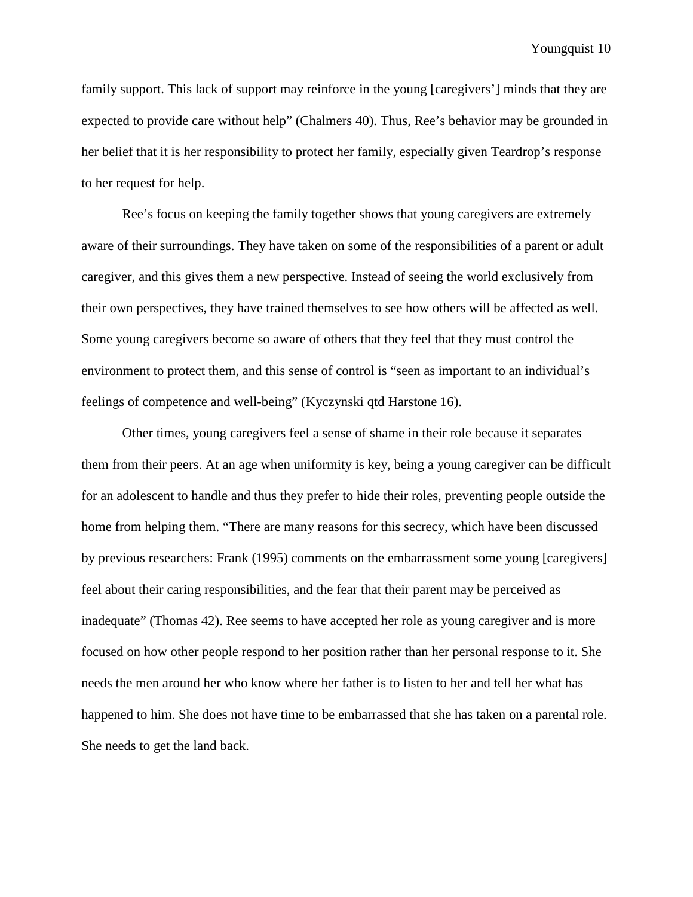family support. This lack of support may reinforce in the young [caregivers'] minds that they are expected to provide care without help" (Chalmers 40). Thus, Ree's behavior may be grounded in her belief that it is her responsibility to protect her family, especially given Teardrop's response to her request for help.

Ree's focus on keeping the family together shows that young caregivers are extremely aware of their surroundings. They have taken on some of the responsibilities of a parent or adult caregiver, and this gives them a new perspective. Instead of seeing the world exclusively from their own perspectives, they have trained themselves to see how others will be affected as well. Some young caregivers become so aware of others that they feel that they must control the environment to protect them, and this sense of control is "seen as important to an individual's feelings of competence and well-being" (Kyczynski qtd Harstone 16).

Other times, young caregivers feel a sense of shame in their role because it separates them from their peers. At an age when uniformity is key, being a young caregiver can be difficult for an adolescent to handle and thus they prefer to hide their roles, preventing people outside the home from helping them. "There are many reasons for this secrecy, which have been discussed by previous researchers: Frank (1995) comments on the embarrassment some young [caregivers] feel about their caring responsibilities, and the fear that their parent may be perceived as inadequate" (Thomas 42). Ree seems to have accepted her role as young caregiver and is more focused on how other people respond to her position rather than her personal response to it. She needs the men around her who know where her father is to listen to her and tell her what has happened to him. She does not have time to be embarrassed that she has taken on a parental role. She needs to get the land back.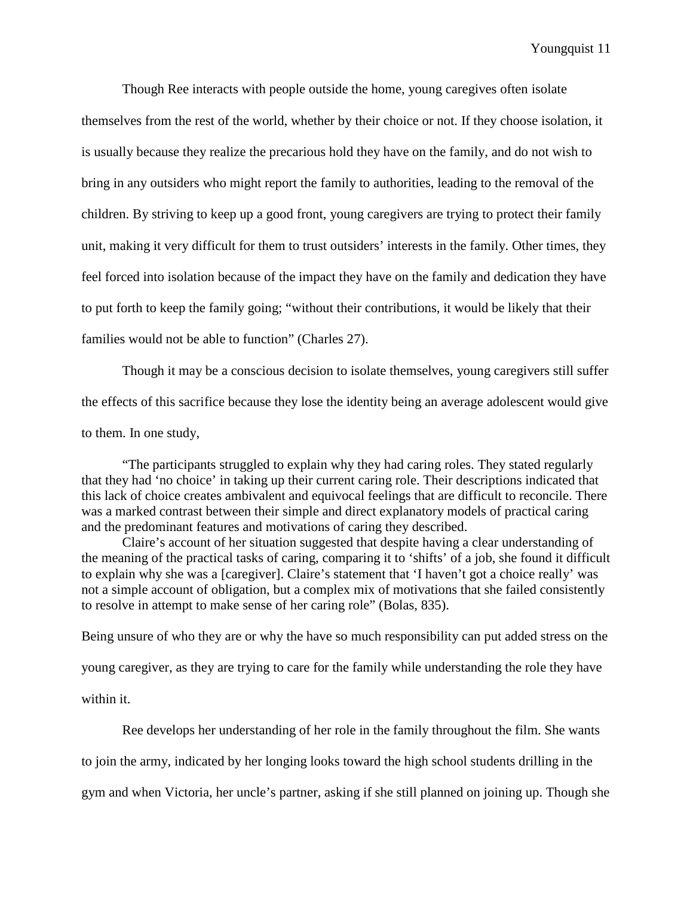Though Ree interacts with people outside the home, young caregives often isolate themselves from the rest of the world, whether by their choice or not. If they choose isolation, it is usually because they realize the precarious hold they have on the family, and do not wish to bring in any outsiders who might report the family to authorities, leading to the removal of the children. By striving to keep up a good front, young caregivers are trying to protect their family unit, making it very difficult for them to trust outsiders' interests in the family. Other times, they feel forced into isolation because of the impact they have on the family and dedication they have to put forth to keep the family going; "without their contributions, it would be likely that their families would not be able to function" (Charles 27).

Though it may be a conscious decision to isolate themselves, young caregivers still suffer the effects of this sacrifice because they lose the identity being an average adolescent would give to them. In one study,

"The participants struggled to explain why they had caring roles. They stated regularly that they had 'no choice' in taking up their current caring role. Their descriptions indicated that this lack of choice creates ambivalent and equivocal feelings that are difficult to reconcile. There was a marked contrast between their simple and direct explanatory models of practical caring and the predominant features and motivations of caring they described.

Claire's account of her situation suggested that despite having a clear understanding of the meaning of the practical tasks of caring, comparing it to 'shifts' of a job, she found it difficult to explain why she was a [caregiver]. Claire's statement that 'I haven't got a choice really' was not a simple account of obligation, but a complex mix of motivations that she failed consistently to resolve in attempt to make sense of her caring role" (Bolas, 835).

Being unsure of who they are or why the have so much responsibility can put added stress on the young caregiver, as they are trying to care for the family while understanding the role they have within it.

Ree develops her understanding of her role in the family throughout the film. She wants to join the army, indicated by her longing looks toward the high school students drilling in the gym and when Victoria, her uncle's partner, asking if she still planned on joining up. Though she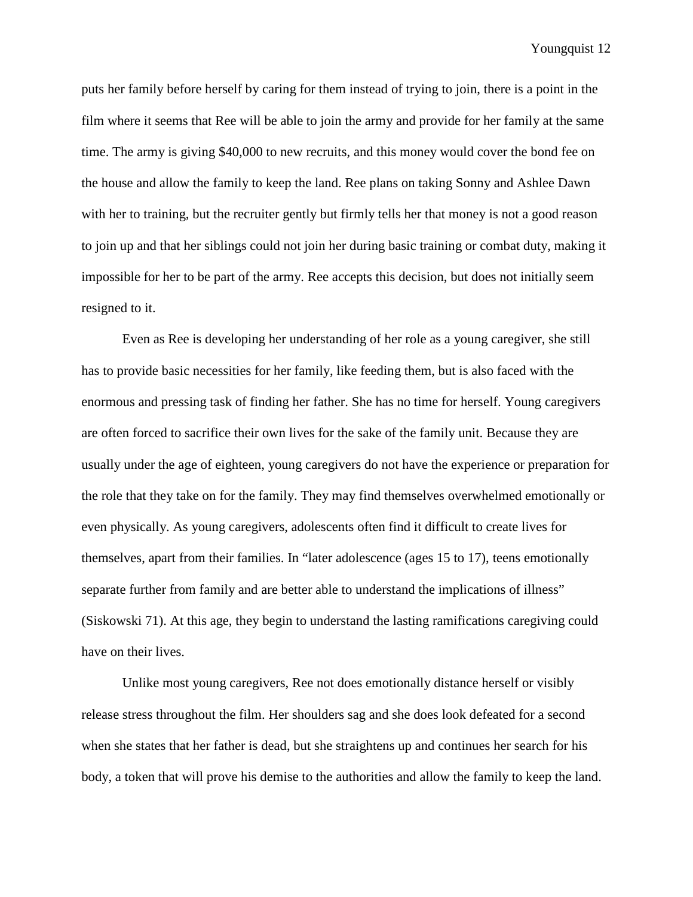puts her family before herself by caring for them instead of trying to join, there is a point in the film where it seems that Ree will be able to join the army and provide for her family at the same time. The army is giving \$40,000 to new recruits, and this money would cover the bond fee on the house and allow the family to keep the land. Ree plans on taking Sonny and Ashlee Dawn with her to training, but the recruiter gently but firmly tells her that money is not a good reason to join up and that her siblings could not join her during basic training or combat duty, making it impossible for her to be part of the army. Ree accepts this decision, but does not initially seem resigned to it.

Even as Ree is developing her understanding of her role as a young caregiver, she still has to provide basic necessities for her family, like feeding them, but is also faced with the enormous and pressing task of finding her father. She has no time for herself. Young caregivers are often forced to sacrifice their own lives for the sake of the family unit. Because they are usually under the age of eighteen, young caregivers do not have the experience or preparation for the role that they take on for the family. They may find themselves overwhelmed emotionally or even physically. As young caregivers, adolescents often find it difficult to create lives for themselves, apart from their families. In "later adolescence (ages 15 to 17), teens emotionally separate further from family and are better able to understand the implications of illness" (Siskowski 71). At this age, they begin to understand the lasting ramifications caregiving could have on their lives.

Unlike most young caregivers, Ree not does emotionally distance herself or visibly release stress throughout the film. Her shoulders sag and she does look defeated for a second when she states that her father is dead, but she straightens up and continues her search for his body, a token that will prove his demise to the authorities and allow the family to keep the land.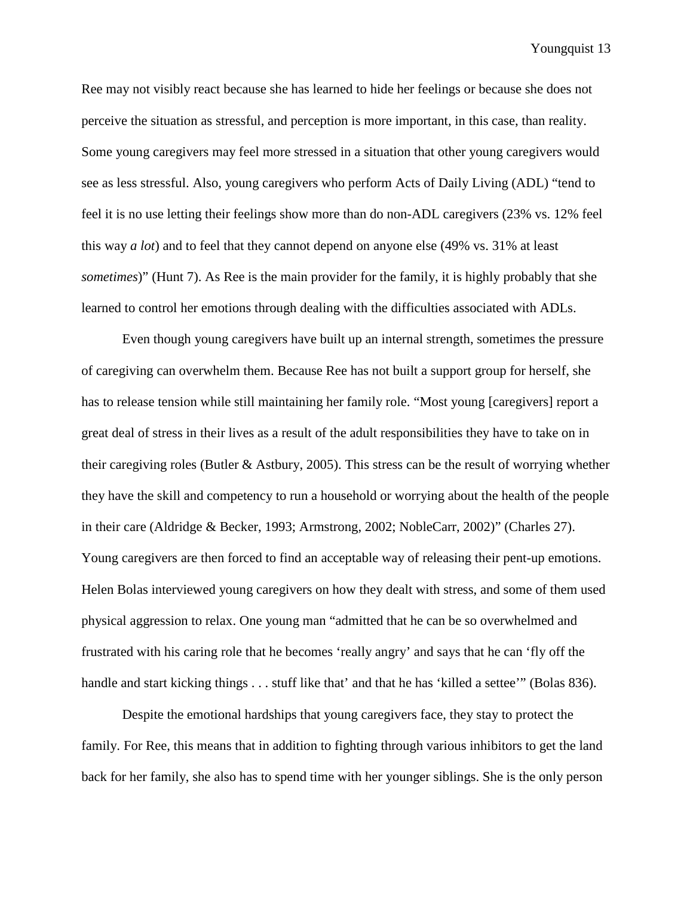Ree may not visibly react because she has learned to hide her feelings or because she does not perceive the situation as stressful, and perception is more important, in this case, than reality. Some young caregivers may feel more stressed in a situation that other young caregivers would see as less stressful. Also, young caregivers who perform Acts of Daily Living (ADL) "tend to feel it is no use letting their feelings show more than do non-ADL caregivers (23% vs. 12% feel this way *a lot*) and to feel that they cannot depend on anyone else (49% vs. 31% at least *sometimes*)" (Hunt 7). As Ree is the main provider for the family, it is highly probably that she learned to control her emotions through dealing with the difficulties associated with ADLs.

Even though young caregivers have built up an internal strength, sometimes the pressure of caregiving can overwhelm them. Because Ree has not built a support group for herself, she has to release tension while still maintaining her family role. "Most young [caregivers] report a great deal of stress in their lives as a result of the adult responsibilities they have to take on in their caregiving roles (Butler & Astbury, 2005). This stress can be the result of worrying whether they have the skill and competency to run a household or worrying about the health of the people in their care (Aldridge & Becker, 1993; Armstrong, 2002; NobleCarr, 2002)" (Charles 27). Young caregivers are then forced to find an acceptable way of releasing their pent-up emotions. Helen Bolas interviewed young caregivers on how they dealt with stress, and some of them used physical aggression to relax. One young man "admitted that he can be so overwhelmed and frustrated with his caring role that he becomes 'really angry' and says that he can 'fly off the handle and start kicking things . . . stuff like that' and that he has 'killed a settee'" (Bolas 836).

Despite the emotional hardships that young caregivers face, they stay to protect the family. For Ree, this means that in addition to fighting through various inhibitors to get the land back for her family, she also has to spend time with her younger siblings. She is the only person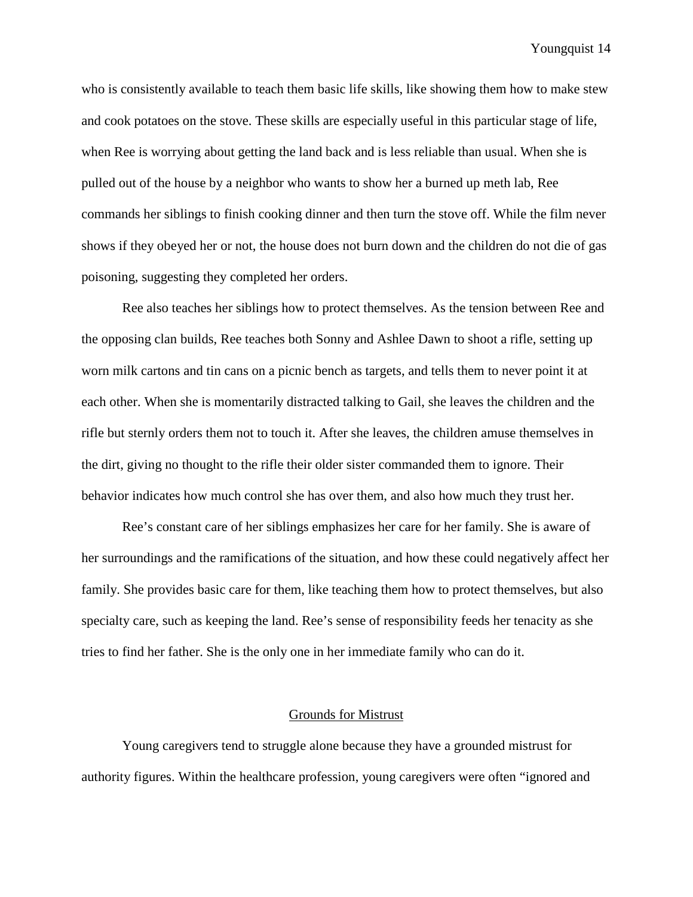who is consistently available to teach them basic life skills, like showing them how to make stew and cook potatoes on the stove. These skills are especially useful in this particular stage of life, when Ree is worrying about getting the land back and is less reliable than usual. When she is pulled out of the house by a neighbor who wants to show her a burned up meth lab, Ree commands her siblings to finish cooking dinner and then turn the stove off. While the film never shows if they obeyed her or not, the house does not burn down and the children do not die of gas poisoning, suggesting they completed her orders.

Ree also teaches her siblings how to protect themselves. As the tension between Ree and the opposing clan builds, Ree teaches both Sonny and Ashlee Dawn to shoot a rifle, setting up worn milk cartons and tin cans on a picnic bench as targets, and tells them to never point it at each other. When she is momentarily distracted talking to Gail, she leaves the children and the rifle but sternly orders them not to touch it. After she leaves, the children amuse themselves in the dirt, giving no thought to the rifle their older sister commanded them to ignore. Their behavior indicates how much control she has over them, and also how much they trust her.

Ree's constant care of her siblings emphasizes her care for her family. She is aware of her surroundings and the ramifications of the situation, and how these could negatively affect her family. She provides basic care for them, like teaching them how to protect themselves, but also specialty care, such as keeping the land. Ree's sense of responsibility feeds her tenacity as she tries to find her father. She is the only one in her immediate family who can do it.

#### Grounds for Mistrust

Young caregivers tend to struggle alone because they have a grounded mistrust for authority figures. Within the healthcare profession, young caregivers were often "ignored and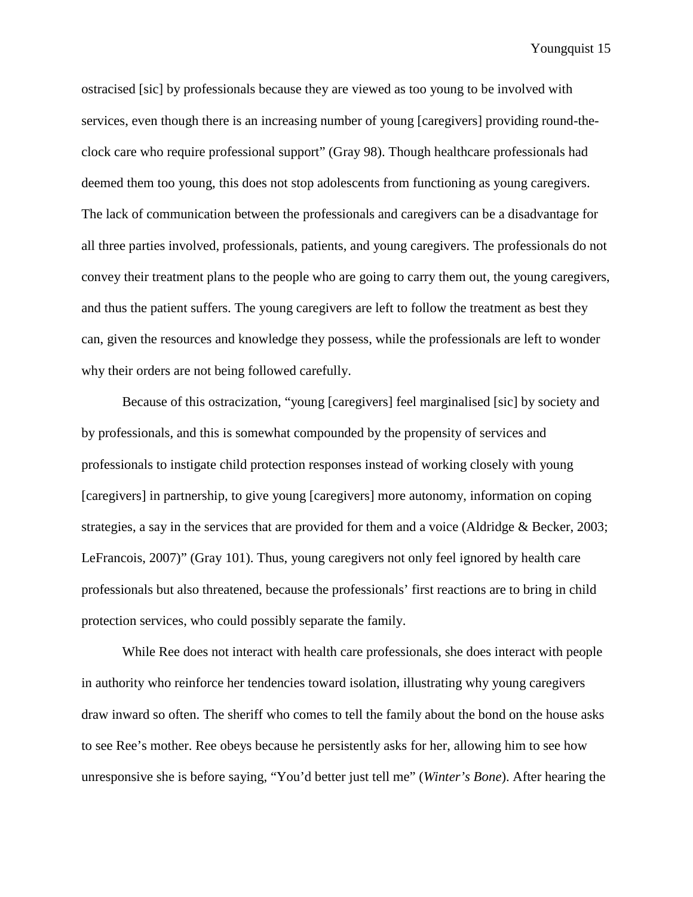ostracised [sic] by professionals because they are viewed as too young to be involved with services, even though there is an increasing number of young [caregivers] providing round-theclock care who require professional support" (Gray 98). Though healthcare professionals had deemed them too young, this does not stop adolescents from functioning as young caregivers. The lack of communication between the professionals and caregivers can be a disadvantage for all three parties involved, professionals, patients, and young caregivers. The professionals do not convey their treatment plans to the people who are going to carry them out, the young caregivers, and thus the patient suffers. The young caregivers are left to follow the treatment as best they can, given the resources and knowledge they possess, while the professionals are left to wonder why their orders are not being followed carefully.

Because of this ostracization, "young [caregivers] feel marginalised [sic] by society and by professionals, and this is somewhat compounded by the propensity of services and professionals to instigate child protection responses instead of working closely with young [caregivers] in partnership, to give young [caregivers] more autonomy, information on coping strategies, a say in the services that are provided for them and a voice (Aldridge & Becker, 2003; LeFrancois, 2007)" (Gray 101). Thus, young caregivers not only feel ignored by health care professionals but also threatened, because the professionals' first reactions are to bring in child protection services, who could possibly separate the family.

While Ree does not interact with health care professionals, she does interact with people in authority who reinforce her tendencies toward isolation, illustrating why young caregivers draw inward so often. The sheriff who comes to tell the family about the bond on the house asks to see Ree's mother. Ree obeys because he persistently asks for her, allowing him to see how unresponsive she is before saying, "You'd better just tell me" (*Winter's Bone*). After hearing the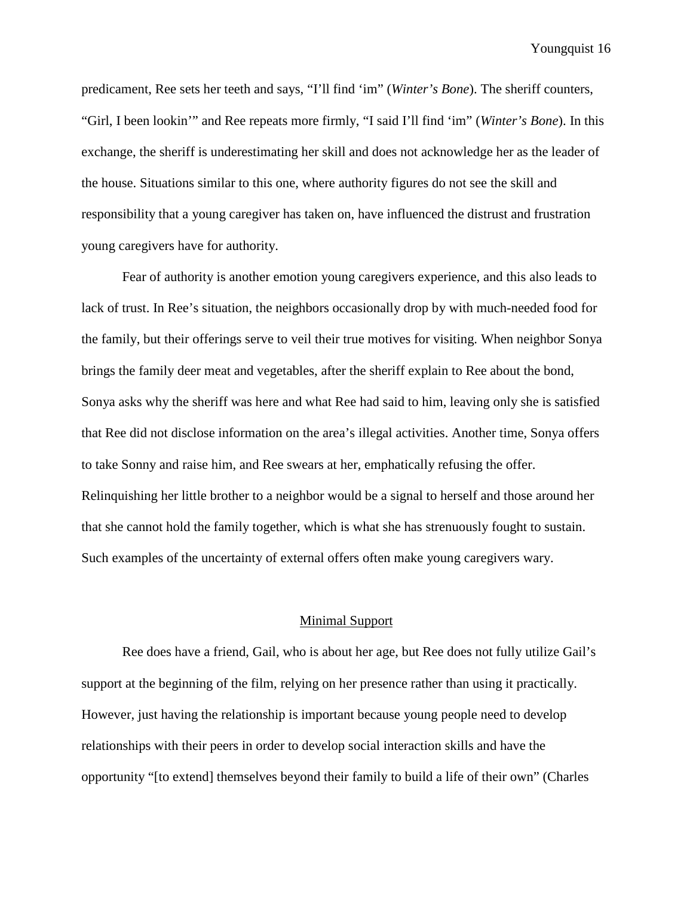predicament, Ree sets her teeth and says, "I'll find 'im" (*Winter's Bone*). The sheriff counters, "Girl, I been lookin'" and Ree repeats more firmly, "I said I'll find 'im" (*Winter's Bone*). In this exchange, the sheriff is underestimating her skill and does not acknowledge her as the leader of the house. Situations similar to this one, where authority figures do not see the skill and responsibility that a young caregiver has taken on, have influenced the distrust and frustration young caregivers have for authority.

Fear of authority is another emotion young caregivers experience, and this also leads to lack of trust. In Ree's situation, the neighbors occasionally drop by with much-needed food for the family, but their offerings serve to veil their true motives for visiting. When neighbor Sonya brings the family deer meat and vegetables, after the sheriff explain to Ree about the bond, Sonya asks why the sheriff was here and what Ree had said to him, leaving only she is satisfied that Ree did not disclose information on the area's illegal activities. Another time, Sonya offers to take Sonny and raise him, and Ree swears at her, emphatically refusing the offer. Relinquishing her little brother to a neighbor would be a signal to herself and those around her that she cannot hold the family together, which is what she has strenuously fought to sustain. Such examples of the uncertainty of external offers often make young caregivers wary.

## Minimal Support

Ree does have a friend, Gail, who is about her age, but Ree does not fully utilize Gail's support at the beginning of the film, relying on her presence rather than using it practically. However, just having the relationship is important because young people need to develop relationships with their peers in order to develop social interaction skills and have the opportunity "[to extend] themselves beyond their family to build a life of their own" (Charles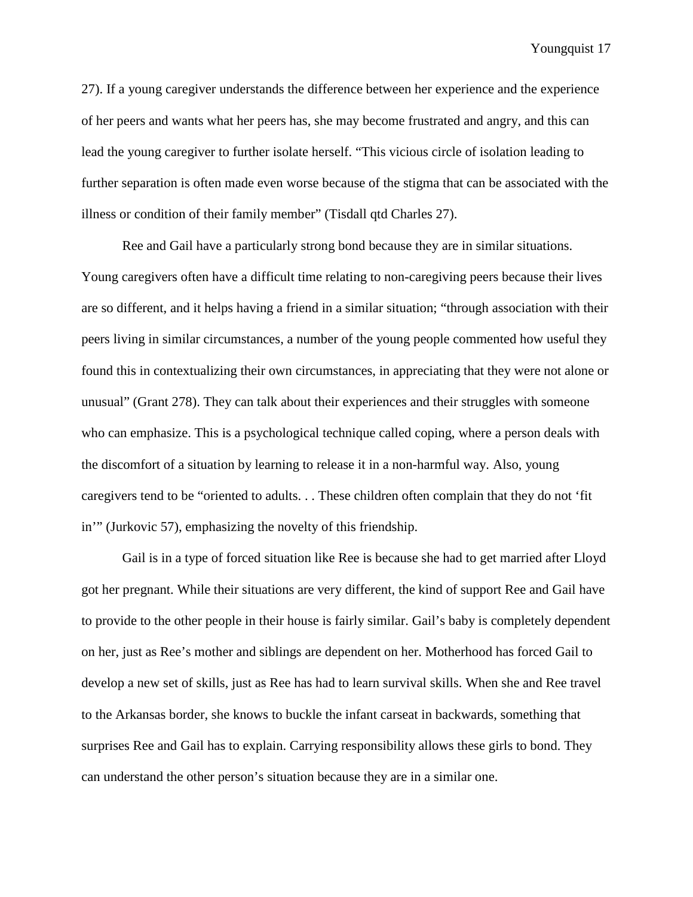27). If a young caregiver understands the difference between her experience and the experience of her peers and wants what her peers has, she may become frustrated and angry, and this can lead the young caregiver to further isolate herself. "This vicious circle of isolation leading to further separation is often made even worse because of the stigma that can be associated with the illness or condition of their family member" (Tisdall qtd Charles 27).

Ree and Gail have a particularly strong bond because they are in similar situations. Young caregivers often have a difficult time relating to non-caregiving peers because their lives are so different, and it helps having a friend in a similar situation; "through association with their peers living in similar circumstances, a number of the young people commented how useful they found this in contextualizing their own circumstances, in appreciating that they were not alone or unusual" (Grant 278). They can talk about their experiences and their struggles with someone who can emphasize. This is a psychological technique called coping, where a person deals with the discomfort of a situation by learning to release it in a non-harmful way. Also, young caregivers tend to be "oriented to adults. . . These children often complain that they do not 'fit in'" (Jurkovic 57), emphasizing the novelty of this friendship.

Gail is in a type of forced situation like Ree is because she had to get married after Lloyd got her pregnant. While their situations are very different, the kind of support Ree and Gail have to provide to the other people in their house is fairly similar. Gail's baby is completely dependent on her, just as Ree's mother and siblings are dependent on her. Motherhood has forced Gail to develop a new set of skills, just as Ree has had to learn survival skills. When she and Ree travel to the Arkansas border, she knows to buckle the infant carseat in backwards, something that surprises Ree and Gail has to explain. Carrying responsibility allows these girls to bond. They can understand the other person's situation because they are in a similar one.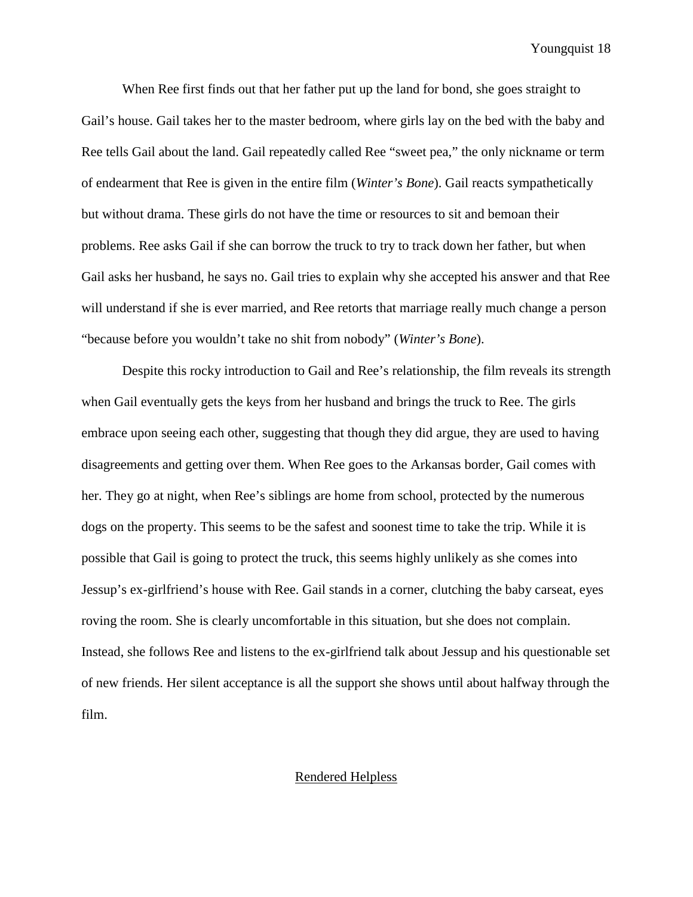When Ree first finds out that her father put up the land for bond, she goes straight to Gail's house. Gail takes her to the master bedroom, where girls lay on the bed with the baby and Ree tells Gail about the land. Gail repeatedly called Ree "sweet pea," the only nickname or term of endearment that Ree is given in the entire film (*Winter's Bone*). Gail reacts sympathetically but without drama. These girls do not have the time or resources to sit and bemoan their problems. Ree asks Gail if she can borrow the truck to try to track down her father, but when Gail asks her husband, he says no. Gail tries to explain why she accepted his answer and that Ree will understand if she is ever married, and Ree retorts that marriage really much change a person "because before you wouldn't take no shit from nobody" (*Winter's Bone*).

Despite this rocky introduction to Gail and Ree's relationship, the film reveals its strength when Gail eventually gets the keys from her husband and brings the truck to Ree. The girls embrace upon seeing each other, suggesting that though they did argue, they are used to having disagreements and getting over them. When Ree goes to the Arkansas border, Gail comes with her. They go at night, when Ree's siblings are home from school, protected by the numerous dogs on the property. This seems to be the safest and soonest time to take the trip. While it is possible that Gail is going to protect the truck, this seems highly unlikely as she comes into Jessup's ex-girlfriend's house with Ree. Gail stands in a corner, clutching the baby carseat, eyes roving the room. She is clearly uncomfortable in this situation, but she does not complain. Instead, she follows Ree and listens to the ex-girlfriend talk about Jessup and his questionable set of new friends. Her silent acceptance is all the support she shows until about halfway through the film.

#### Rendered Helpless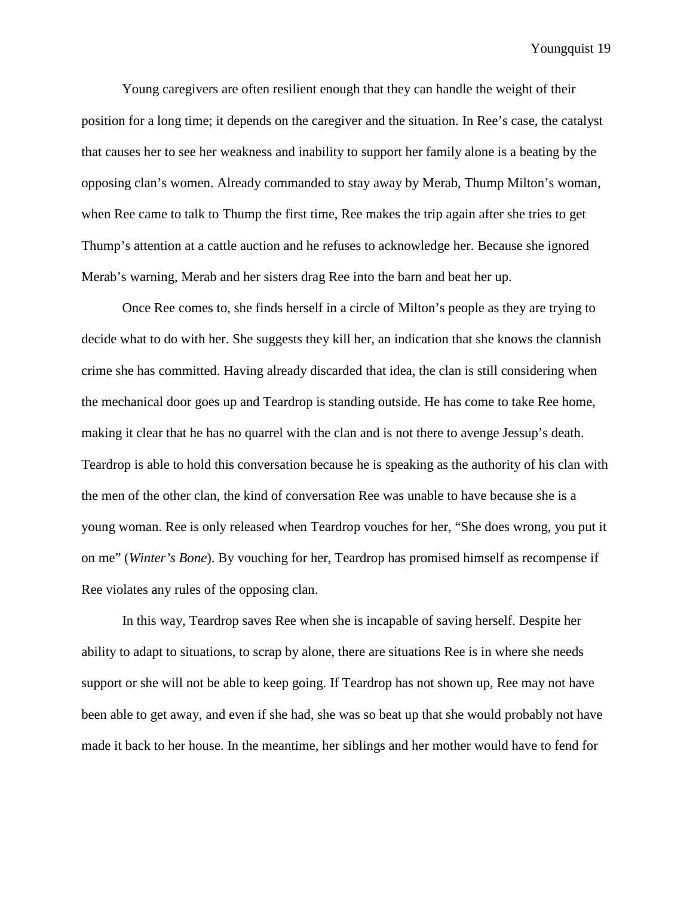Young caregivers are often resilient enough that they can handle the weight of their position for a long time; it depends on the caregiver and the situation. In Ree's case, the catalyst that causes her to see her weakness and inability to support her family alone is a beating by the opposing clan's women. Already commanded to stay away by Merab, Thump Milton's woman, when Ree came to talk to Thump the first time, Ree makes the trip again after she tries to get Thump's attention at a cattle auction and he refuses to acknowledge her. Because she ignored Merab's warning, Merab and her sisters drag Ree into the barn and beat her up.

Once Ree comes to, she finds herself in a circle of Milton's people as they are trying to decide what to do with her. She suggests they kill her, an indication that she knows the clannish crime she has committed. Having already discarded that idea, the clan is still considering when the mechanical door goes up and Teardrop is standing outside. He has come to take Ree home, making it clear that he has no quarrel with the clan and is not there to avenge Jessup's death. Teardrop is able to hold this conversation because he is speaking as the authority of his clan with the men of the other clan, the kind of conversation Ree was unable to have because she is a young woman. Ree is only released when Teardrop vouches for her, "She does wrong, you put it on me" (*Winter's Bone*). By vouching for her, Teardrop has promised himself as recompense if Ree violates any rules of the opposing clan.

In this way, Teardrop saves Ree when she is incapable of saving herself. Despite her ability to adapt to situations, to scrap by alone, there are situations Ree is in where she needs support or she will not be able to keep going. If Teardrop has not shown up, Ree may not have been able to get away, and even if she had, she was so beat up that she would probably not have made it back to her house. In the meantime, her siblings and her mother would have to fend for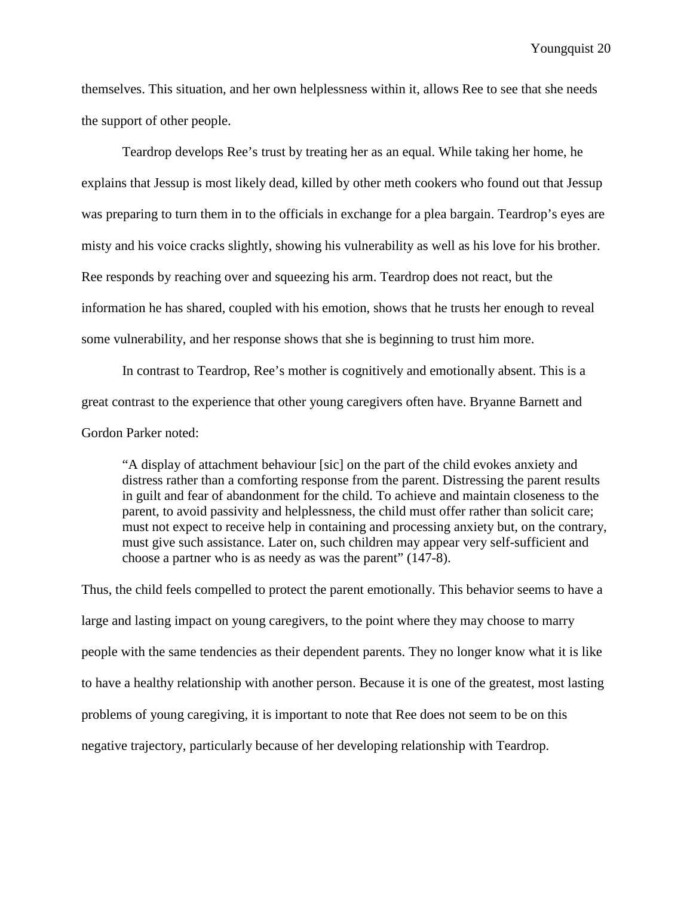themselves. This situation, and her own helplessness within it, allows Ree to see that she needs the support of other people.

Teardrop develops Ree's trust by treating her as an equal. While taking her home, he explains that Jessup is most likely dead, killed by other meth cookers who found out that Jessup was preparing to turn them in to the officials in exchange for a plea bargain. Teardrop's eyes are misty and his voice cracks slightly, showing his vulnerability as well as his love for his brother. Ree responds by reaching over and squeezing his arm. Teardrop does not react, but the information he has shared, coupled with his emotion, shows that he trusts her enough to reveal some vulnerability, and her response shows that she is beginning to trust him more.

In contrast to Teardrop, Ree's mother is cognitively and emotionally absent. This is a great contrast to the experience that other young caregivers often have. Bryanne Barnett and Gordon Parker noted:

"A display of attachment behaviour [sic] on the part of the child evokes anxiety and distress rather than a comforting response from the parent. Distressing the parent results in guilt and fear of abandonment for the child. To achieve and maintain closeness to the parent, to avoid passivity and helplessness, the child must offer rather than solicit care; must not expect to receive help in containing and processing anxiety but, on the contrary, must give such assistance. Later on, such children may appear very self-sufficient and choose a partner who is as needy as was the parent" (147-8).

Thus, the child feels compelled to protect the parent emotionally. This behavior seems to have a large and lasting impact on young caregivers, to the point where they may choose to marry people with the same tendencies as their dependent parents. They no longer know what it is like to have a healthy relationship with another person. Because it is one of the greatest, most lasting problems of young caregiving, it is important to note that Ree does not seem to be on this negative trajectory, particularly because of her developing relationship with Teardrop.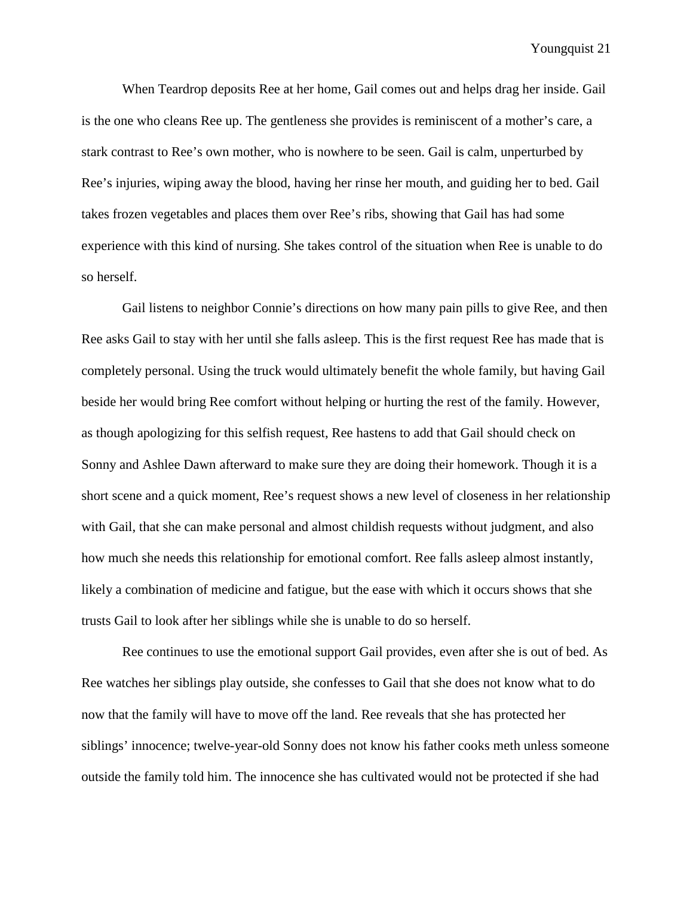When Teardrop deposits Ree at her home, Gail comes out and helps drag her inside. Gail is the one who cleans Ree up. The gentleness she provides is reminiscent of a mother's care, a stark contrast to Ree's own mother, who is nowhere to be seen. Gail is calm, unperturbed by Ree's injuries, wiping away the blood, having her rinse her mouth, and guiding her to bed. Gail takes frozen vegetables and places them over Ree's ribs, showing that Gail has had some experience with this kind of nursing. She takes control of the situation when Ree is unable to do so herself.

Gail listens to neighbor Connie's directions on how many pain pills to give Ree, and then Ree asks Gail to stay with her until she falls asleep. This is the first request Ree has made that is completely personal. Using the truck would ultimately benefit the whole family, but having Gail beside her would bring Ree comfort without helping or hurting the rest of the family. However, as though apologizing for this selfish request, Ree hastens to add that Gail should check on Sonny and Ashlee Dawn afterward to make sure they are doing their homework. Though it is a short scene and a quick moment, Ree's request shows a new level of closeness in her relationship with Gail, that she can make personal and almost childish requests without judgment, and also how much she needs this relationship for emotional comfort. Ree falls asleep almost instantly, likely a combination of medicine and fatigue, but the ease with which it occurs shows that she trusts Gail to look after her siblings while she is unable to do so herself.

Ree continues to use the emotional support Gail provides, even after she is out of bed. As Ree watches her siblings play outside, she confesses to Gail that she does not know what to do now that the family will have to move off the land. Ree reveals that she has protected her siblings' innocence; twelve-year-old Sonny does not know his father cooks meth unless someone outside the family told him. The innocence she has cultivated would not be protected if she had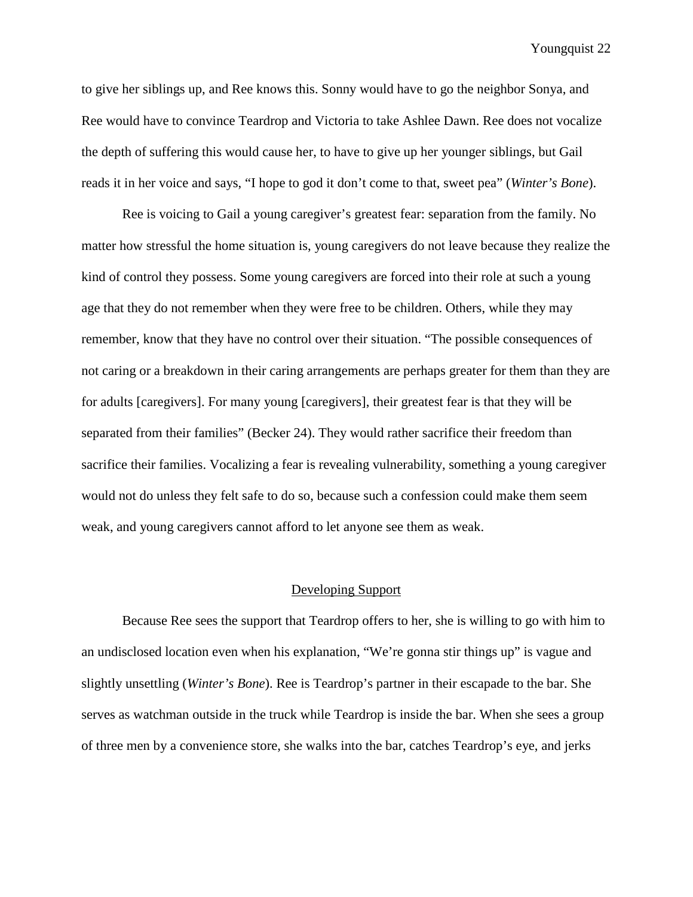to give her siblings up, and Ree knows this. Sonny would have to go the neighbor Sonya, and Ree would have to convince Teardrop and Victoria to take Ashlee Dawn. Ree does not vocalize the depth of suffering this would cause her, to have to give up her younger siblings, but Gail reads it in her voice and says, "I hope to god it don't come to that, sweet pea" (*Winter's Bone*).

Ree is voicing to Gail a young caregiver's greatest fear: separation from the family. No matter how stressful the home situation is, young caregivers do not leave because they realize the kind of control they possess. Some young caregivers are forced into their role at such a young age that they do not remember when they were free to be children. Others, while they may remember, know that they have no control over their situation. "The possible consequences of not caring or a breakdown in their caring arrangements are perhaps greater for them than they are for adults [caregivers]. For many young [caregivers], their greatest fear is that they will be separated from their families" (Becker 24). They would rather sacrifice their freedom than sacrifice their families. Vocalizing a fear is revealing vulnerability, something a young caregiver would not do unless they felt safe to do so, because such a confession could make them seem weak, and young caregivers cannot afford to let anyone see them as weak.

#### Developing Support

Because Ree sees the support that Teardrop offers to her, she is willing to go with him to an undisclosed location even when his explanation, "We're gonna stir things up" is vague and slightly unsettling (*Winter's Bone*). Ree is Teardrop's partner in their escapade to the bar. She serves as watchman outside in the truck while Teardrop is inside the bar. When she sees a group of three men by a convenience store, she walks into the bar, catches Teardrop's eye, and jerks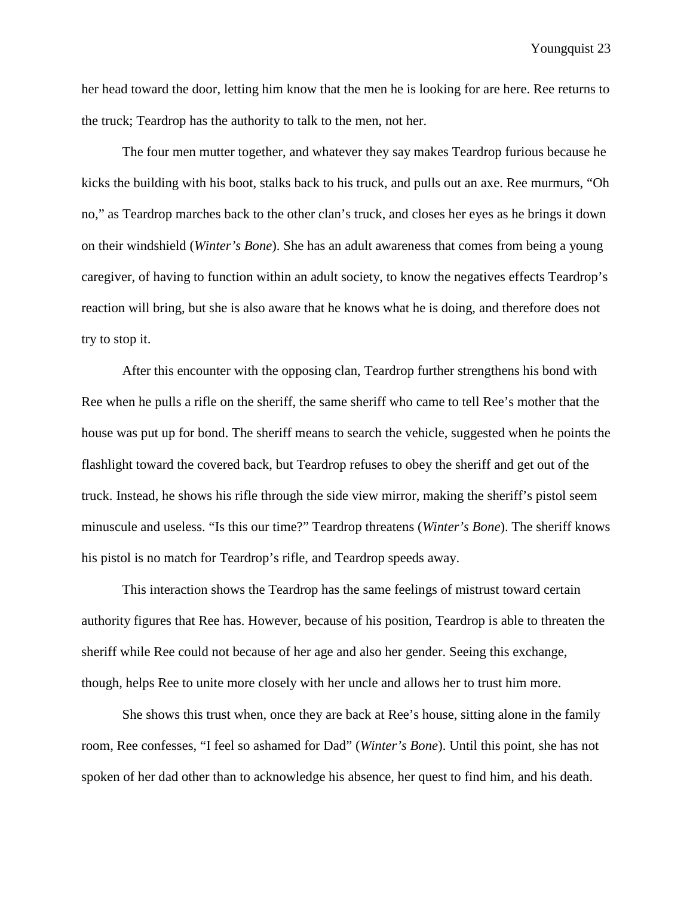her head toward the door, letting him know that the men he is looking for are here. Ree returns to the truck; Teardrop has the authority to talk to the men, not her.

The four men mutter together, and whatever they say makes Teardrop furious because he kicks the building with his boot, stalks back to his truck, and pulls out an axe. Ree murmurs, "Oh no," as Teardrop marches back to the other clan's truck, and closes her eyes as he brings it down on their windshield (*Winter's Bone*). She has an adult awareness that comes from being a young caregiver, of having to function within an adult society, to know the negatives effects Teardrop's reaction will bring, but she is also aware that he knows what he is doing, and therefore does not try to stop it.

After this encounter with the opposing clan, Teardrop further strengthens his bond with Ree when he pulls a rifle on the sheriff, the same sheriff who came to tell Ree's mother that the house was put up for bond. The sheriff means to search the vehicle, suggested when he points the flashlight toward the covered back, but Teardrop refuses to obey the sheriff and get out of the truck. Instead, he shows his rifle through the side view mirror, making the sheriff's pistol seem minuscule and useless. "Is this our time?" Teardrop threatens (*Winter's Bone*). The sheriff knows his pistol is no match for Teardrop's rifle, and Teardrop speeds away.

This interaction shows the Teardrop has the same feelings of mistrust toward certain authority figures that Ree has. However, because of his position, Teardrop is able to threaten the sheriff while Ree could not because of her age and also her gender. Seeing this exchange, though, helps Ree to unite more closely with her uncle and allows her to trust him more.

She shows this trust when, once they are back at Ree's house, sitting alone in the family room, Ree confesses, "I feel so ashamed for Dad" (*Winter's Bone*). Until this point, she has not spoken of her dad other than to acknowledge his absence, her quest to find him, and his death.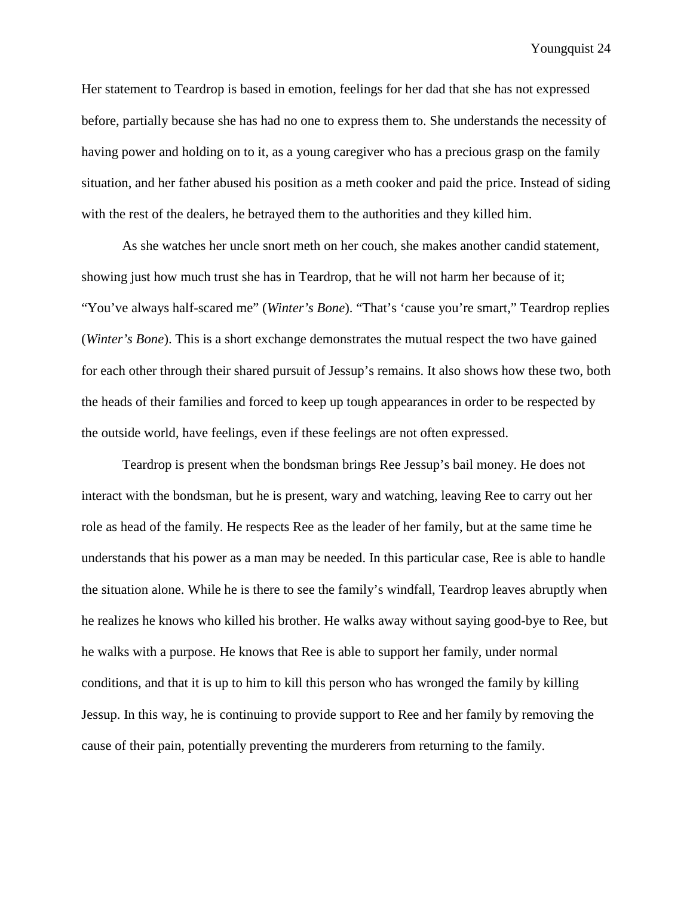Her statement to Teardrop is based in emotion, feelings for her dad that she has not expressed before, partially because she has had no one to express them to. She understands the necessity of having power and holding on to it, as a young caregiver who has a precious grasp on the family situation, and her father abused his position as a meth cooker and paid the price. Instead of siding with the rest of the dealers, he betrayed them to the authorities and they killed him.

As she watches her uncle snort meth on her couch, she makes another candid statement, showing just how much trust she has in Teardrop, that he will not harm her because of it; "You've always half-scared me" (*Winter's Bone*). "That's 'cause you're smart," Teardrop replies (*Winter's Bone*). This is a short exchange demonstrates the mutual respect the two have gained for each other through their shared pursuit of Jessup's remains. It also shows how these two, both the heads of their families and forced to keep up tough appearances in order to be respected by the outside world, have feelings, even if these feelings are not often expressed.

Teardrop is present when the bondsman brings Ree Jessup's bail money. He does not interact with the bondsman, but he is present, wary and watching, leaving Ree to carry out her role as head of the family. He respects Ree as the leader of her family, but at the same time he understands that his power as a man may be needed. In this particular case, Ree is able to handle the situation alone. While he is there to see the family's windfall, Teardrop leaves abruptly when he realizes he knows who killed his brother. He walks away without saying good-bye to Ree, but he walks with a purpose. He knows that Ree is able to support her family, under normal conditions, and that it is up to him to kill this person who has wronged the family by killing Jessup. In this way, he is continuing to provide support to Ree and her family by removing the cause of their pain, potentially preventing the murderers from returning to the family.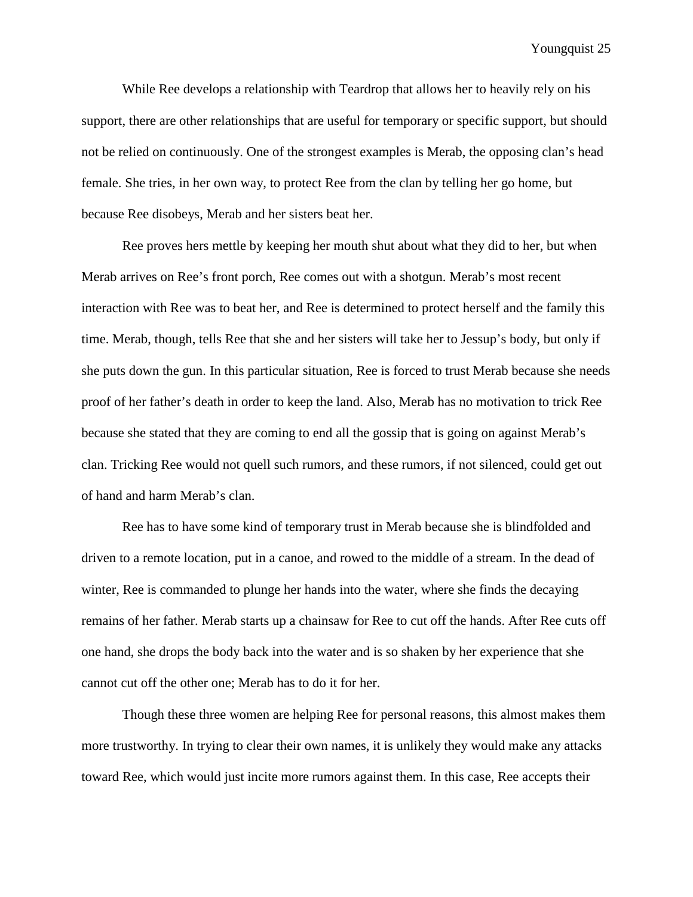While Ree develops a relationship with Teardrop that allows her to heavily rely on his support, there are other relationships that are useful for temporary or specific support, but should not be relied on continuously. One of the strongest examples is Merab, the opposing clan's head female. She tries, in her own way, to protect Ree from the clan by telling her go home, but because Ree disobeys, Merab and her sisters beat her.

Ree proves hers mettle by keeping her mouth shut about what they did to her, but when Merab arrives on Ree's front porch, Ree comes out with a shotgun. Merab's most recent interaction with Ree was to beat her, and Ree is determined to protect herself and the family this time. Merab, though, tells Ree that she and her sisters will take her to Jessup's body, but only if she puts down the gun. In this particular situation, Ree is forced to trust Merab because she needs proof of her father's death in order to keep the land. Also, Merab has no motivation to trick Ree because she stated that they are coming to end all the gossip that is going on against Merab's clan. Tricking Ree would not quell such rumors, and these rumors, if not silenced, could get out of hand and harm Merab's clan.

Ree has to have some kind of temporary trust in Merab because she is blindfolded and driven to a remote location, put in a canoe, and rowed to the middle of a stream. In the dead of winter, Ree is commanded to plunge her hands into the water, where she finds the decaying remains of her father. Merab starts up a chainsaw for Ree to cut off the hands. After Ree cuts off one hand, she drops the body back into the water and is so shaken by her experience that she cannot cut off the other one; Merab has to do it for her.

Though these three women are helping Ree for personal reasons, this almost makes them more trustworthy. In trying to clear their own names, it is unlikely they would make any attacks toward Ree, which would just incite more rumors against them. In this case, Ree accepts their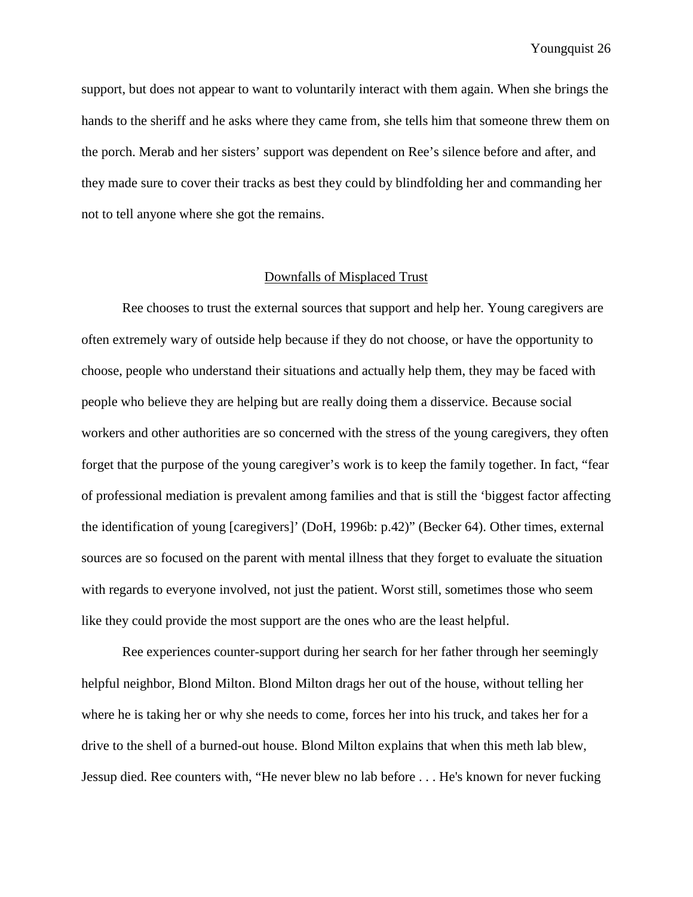support, but does not appear to want to voluntarily interact with them again. When she brings the hands to the sheriff and he asks where they came from, she tells him that someone threw them on the porch. Merab and her sisters' support was dependent on Ree's silence before and after, and they made sure to cover their tracks as best they could by blindfolding her and commanding her not to tell anyone where she got the remains.

#### Downfalls of Misplaced Trust

Ree chooses to trust the external sources that support and help her. Young caregivers are often extremely wary of outside help because if they do not choose, or have the opportunity to choose, people who understand their situations and actually help them, they may be faced with people who believe they are helping but are really doing them a disservice. Because social workers and other authorities are so concerned with the stress of the young caregivers, they often forget that the purpose of the young caregiver's work is to keep the family together. In fact, "fear of professional mediation is prevalent among families and that is still the 'biggest factor affecting the identification of young [caregivers]' (DoH, 1996b: p.42)" (Becker 64). Other times, external sources are so focused on the parent with mental illness that they forget to evaluate the situation with regards to everyone involved, not just the patient. Worst still, sometimes those who seem like they could provide the most support are the ones who are the least helpful.

Ree experiences counter-support during her search for her father through her seemingly helpful neighbor, Blond Milton. Blond Milton drags her out of the house, without telling her where he is taking her or why she needs to come, forces her into his truck, and takes her for a drive to the shell of a burned-out house. Blond Milton explains that when this meth lab blew, Jessup died. Ree counters with, "He never blew no lab before . . . He's known for never fucking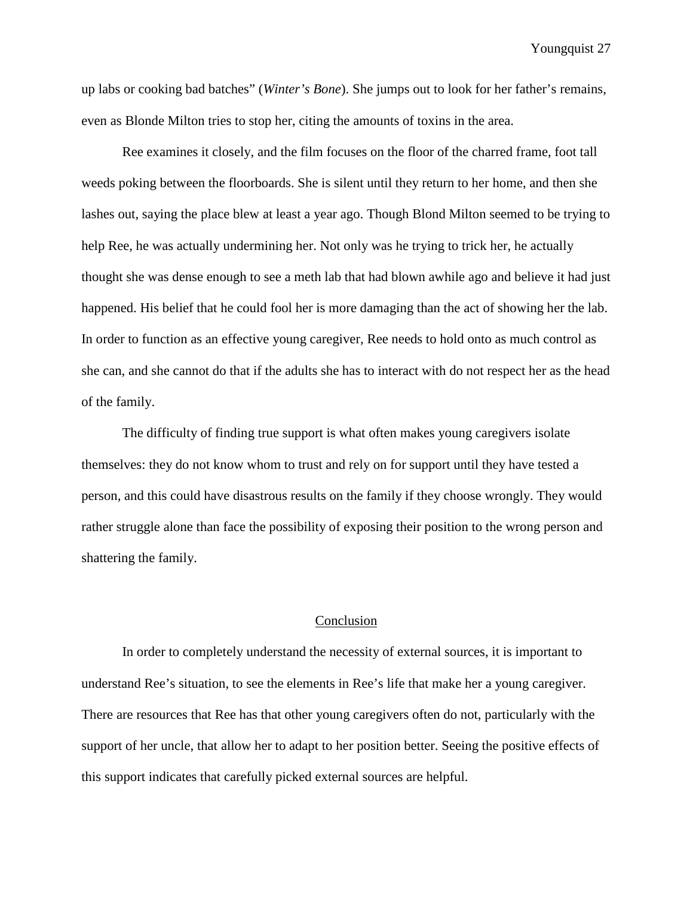up labs or cooking bad batches" (*Winter's Bone*). She jumps out to look for her father's remains, even as Blonde Milton tries to stop her, citing the amounts of toxins in the area.

Ree examines it closely, and the film focuses on the floor of the charred frame, foot tall weeds poking between the floorboards. She is silent until they return to her home, and then she lashes out, saying the place blew at least a year ago. Though Blond Milton seemed to be trying to help Ree, he was actually undermining her. Not only was he trying to trick her, he actually thought she was dense enough to see a meth lab that had blown awhile ago and believe it had just happened. His belief that he could fool her is more damaging than the act of showing her the lab. In order to function as an effective young caregiver, Ree needs to hold onto as much control as she can, and she cannot do that if the adults she has to interact with do not respect her as the head of the family.

The difficulty of finding true support is what often makes young caregivers isolate themselves: they do not know whom to trust and rely on for support until they have tested a person, and this could have disastrous results on the family if they choose wrongly. They would rather struggle alone than face the possibility of exposing their position to the wrong person and shattering the family.

## Conclusion

In order to completely understand the necessity of external sources, it is important to understand Ree's situation, to see the elements in Ree's life that make her a young caregiver. There are resources that Ree has that other young caregivers often do not, particularly with the support of her uncle, that allow her to adapt to her position better. Seeing the positive effects of this support indicates that carefully picked external sources are helpful.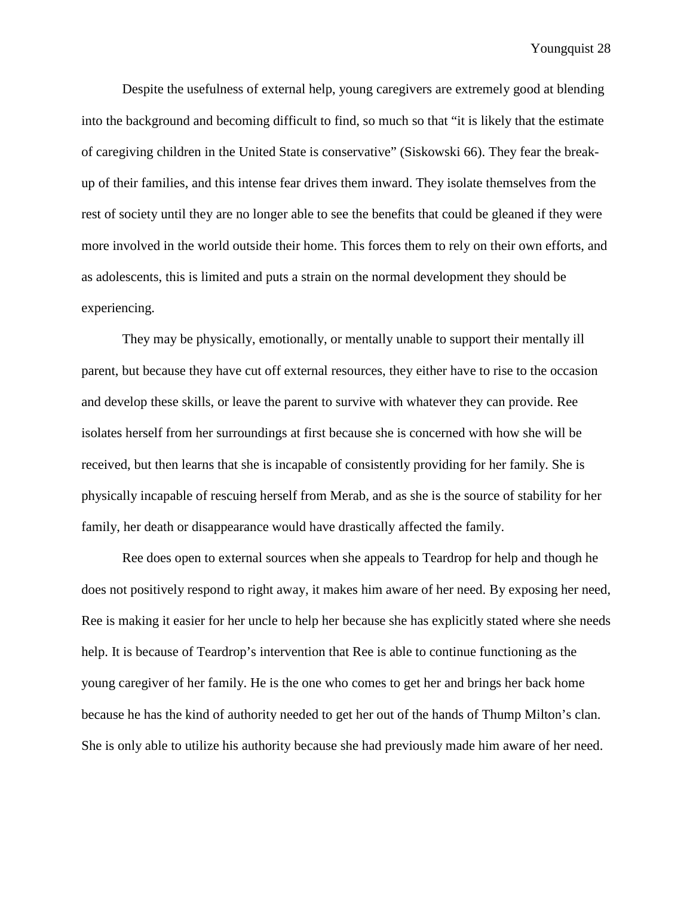Despite the usefulness of external help, young caregivers are extremely good at blending into the background and becoming difficult to find, so much so that "it is likely that the estimate of caregiving children in the United State is conservative" (Siskowski 66). They fear the breakup of their families, and this intense fear drives them inward. They isolate themselves from the rest of society until they are no longer able to see the benefits that could be gleaned if they were more involved in the world outside their home. This forces them to rely on their own efforts, and as adolescents, this is limited and puts a strain on the normal development they should be experiencing.

They may be physically, emotionally, or mentally unable to support their mentally ill parent, but because they have cut off external resources, they either have to rise to the occasion and develop these skills, or leave the parent to survive with whatever they can provide. Ree isolates herself from her surroundings at first because she is concerned with how she will be received, but then learns that she is incapable of consistently providing for her family. She is physically incapable of rescuing herself from Merab, and as she is the source of stability for her family, her death or disappearance would have drastically affected the family.

Ree does open to external sources when she appeals to Teardrop for help and though he does not positively respond to right away, it makes him aware of her need. By exposing her need, Ree is making it easier for her uncle to help her because she has explicitly stated where she needs help. It is because of Teardrop's intervention that Ree is able to continue functioning as the young caregiver of her family. He is the one who comes to get her and brings her back home because he has the kind of authority needed to get her out of the hands of Thump Milton's clan. She is only able to utilize his authority because she had previously made him aware of her need.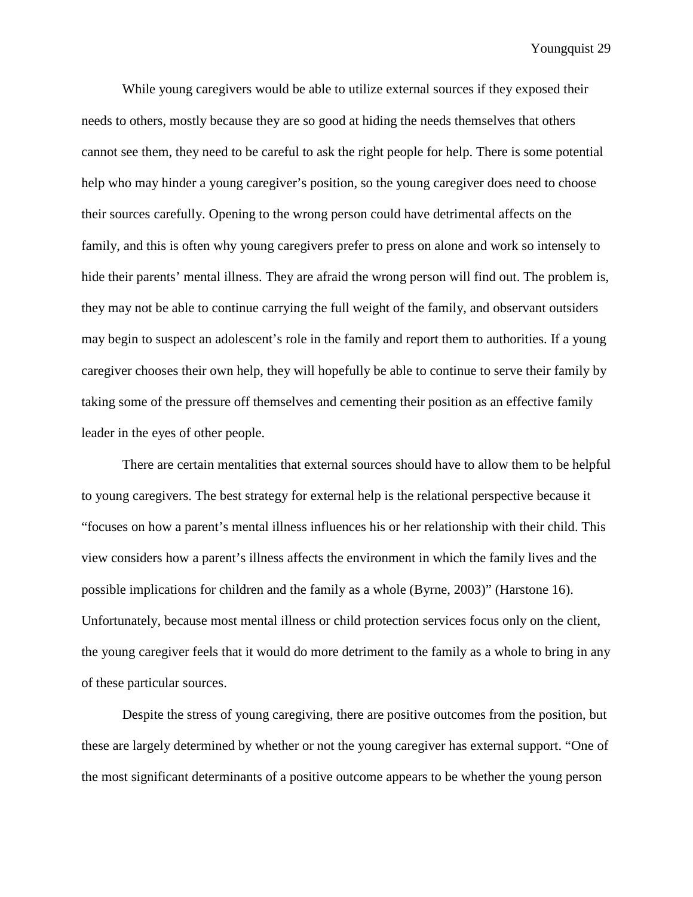While young caregivers would be able to utilize external sources if they exposed their needs to others, mostly because they are so good at hiding the needs themselves that others cannot see them, they need to be careful to ask the right people for help. There is some potential help who may hinder a young caregiver's position, so the young caregiver does need to choose their sources carefully. Opening to the wrong person could have detrimental affects on the family, and this is often why young caregivers prefer to press on alone and work so intensely to hide their parents' mental illness. They are afraid the wrong person will find out. The problem is, they may not be able to continue carrying the full weight of the family, and observant outsiders may begin to suspect an adolescent's role in the family and report them to authorities. If a young caregiver chooses their own help, they will hopefully be able to continue to serve their family by taking some of the pressure off themselves and cementing their position as an effective family leader in the eyes of other people.

There are certain mentalities that external sources should have to allow them to be helpful to young caregivers. The best strategy for external help is the relational perspective because it "focuses on how a parent's mental illness influences his or her relationship with their child. This view considers how a parent's illness affects the environment in which the family lives and the possible implications for children and the family as a whole (Byrne, 2003)" (Harstone 16). Unfortunately, because most mental illness or child protection services focus only on the client, the young caregiver feels that it would do more detriment to the family as a whole to bring in any of these particular sources.

Despite the stress of young caregiving, there are positive outcomes from the position, but these are largely determined by whether or not the young caregiver has external support. "One of the most significant determinants of a positive outcome appears to be whether the young person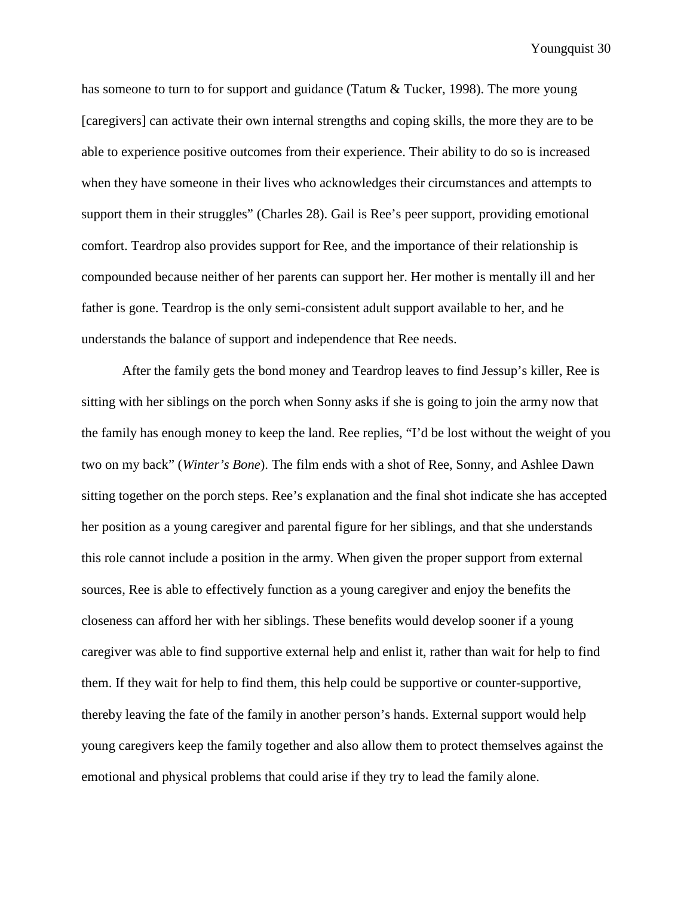has someone to turn to for support and guidance (Tatum & Tucker, 1998). The more young [caregivers] can activate their own internal strengths and coping skills, the more they are to be able to experience positive outcomes from their experience. Their ability to do so is increased when they have someone in their lives who acknowledges their circumstances and attempts to support them in their struggles" (Charles 28). Gail is Ree's peer support, providing emotional comfort. Teardrop also provides support for Ree, and the importance of their relationship is compounded because neither of her parents can support her. Her mother is mentally ill and her father is gone. Teardrop is the only semi-consistent adult support available to her, and he understands the balance of support and independence that Ree needs.

After the family gets the bond money and Teardrop leaves to find Jessup's killer, Ree is sitting with her siblings on the porch when Sonny asks if she is going to join the army now that the family has enough money to keep the land. Ree replies, "I'd be lost without the weight of you two on my back" (*Winter's Bone*). The film ends with a shot of Ree, Sonny, and Ashlee Dawn sitting together on the porch steps. Ree's explanation and the final shot indicate she has accepted her position as a young caregiver and parental figure for her siblings, and that she understands this role cannot include a position in the army. When given the proper support from external sources, Ree is able to effectively function as a young caregiver and enjoy the benefits the closeness can afford her with her siblings. These benefits would develop sooner if a young caregiver was able to find supportive external help and enlist it, rather than wait for help to find them. If they wait for help to find them, this help could be supportive or counter-supportive, thereby leaving the fate of the family in another person's hands. External support would help young caregivers keep the family together and also allow them to protect themselves against the emotional and physical problems that could arise if they try to lead the family alone.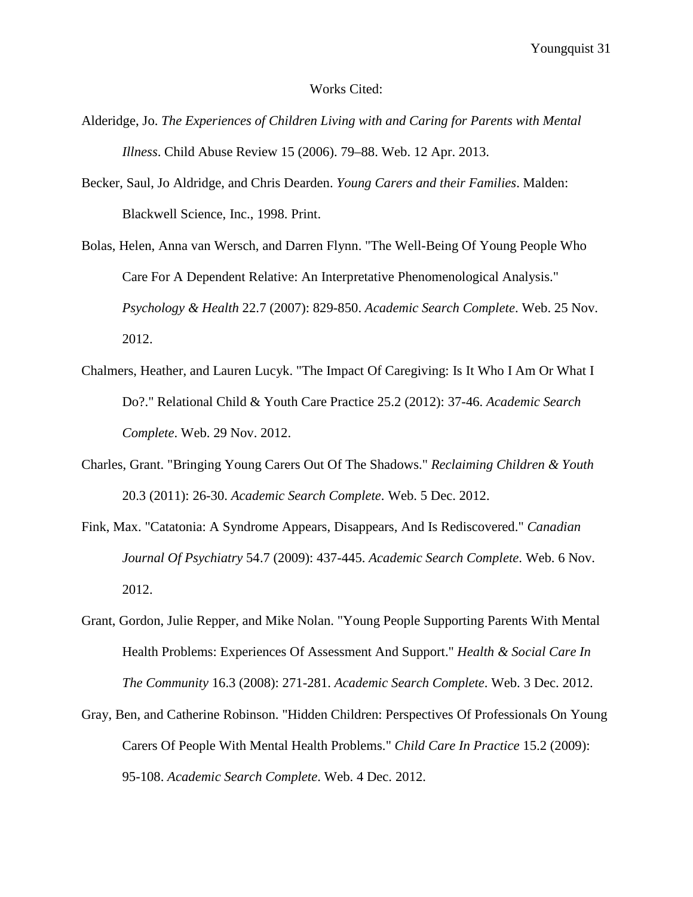#### Works Cited:

- Alderidge, Jo. *The Experiences of Children Living with and Caring for Parents with Mental Illness*. Child Abuse Review 15 (2006). 79–88. Web. 12 Apr. 2013.
- Becker, Saul, Jo Aldridge, and Chris Dearden. *Young Carers and their Families*. Malden: Blackwell Science, Inc., 1998. Print.
- Bolas, Helen, Anna van Wersch, and Darren Flynn. "The Well-Being Of Young People Who Care For A Dependent Relative: An Interpretative Phenomenological Analysis." *Psychology & Health* 22.7 (2007): 829-850. *Academic Search Complete*. Web. 25 Nov. 2012.
- Chalmers, Heather, and Lauren Lucyk. "The Impact Of Caregiving: Is It Who I Am Or What I Do?." Relational Child & Youth Care Practice 25.2 (2012): 37-46. *Academic Search Complete*. Web. 29 Nov. 2012.
- Charles, Grant. "Bringing Young Carers Out Of The Shadows." *Reclaiming Children & Youth*  20.3 (2011): 26-30. *Academic Search Complete*. Web. 5 Dec. 2012.
- Fink, Max. "Catatonia: A Syndrome Appears, Disappears, And Is Rediscovered." *Canadian Journal Of Psychiatry* 54.7 (2009): 437-445. *Academic Search Complete*. Web. 6 Nov. 2012.
- Grant, Gordon, Julie Repper, and Mike Nolan. "Young People Supporting Parents With Mental Health Problems: Experiences Of Assessment And Support." *Health & Social Care In The Community* 16.3 (2008): 271-281. *Academic Search Complete*. Web. 3 Dec. 2012.
- Gray, Ben, and Catherine Robinson. "Hidden Children: Perspectives Of Professionals On Young Carers Of People With Mental Health Problems." *Child Care In Practice* 15.2 (2009): 95-108. *Academic Search Complete*. Web. 4 Dec. 2012.